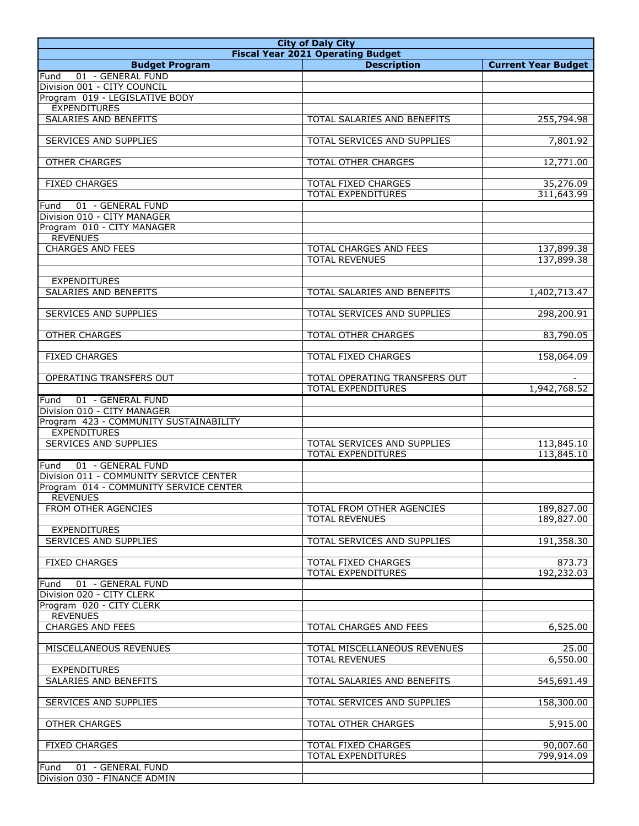| <b>City of Daly City</b>                                                          |                                                       |                            |
|-----------------------------------------------------------------------------------|-------------------------------------------------------|----------------------------|
|                                                                                   | <b>Fiscal Year 2021 Operating Budget</b>              |                            |
| <b>Budget Program</b><br>01 - GENERAL FUND<br>Fund                                | <b>Description</b>                                    | <b>Current Year Budget</b> |
| Division 001 - CITY COUNCIL                                                       |                                                       |                            |
| Program 019 - LEGISLATIVE BODY                                                    |                                                       |                            |
| <b>EXPENDITURES</b>                                                               |                                                       |                            |
| SALARIES AND BENEFITS                                                             | TOTAL SALARIES AND BENEFITS                           | 255,794.98                 |
| <b>SERVICES AND SUPPLIES</b>                                                      | TOTAL SERVICES AND SUPPLIES                           | 7,801.92                   |
|                                                                                   |                                                       |                            |
| <b>OTHER CHARGES</b>                                                              | TOTAL OTHER CHARGES                                   | 12,771.00                  |
| <b>FIXED CHARGES</b>                                                              | TOTAL FIXED CHARGES                                   |                            |
|                                                                                   | <b>TOTAL EXPENDITURES</b>                             | 35,276.09<br>311,643.99    |
| 01 - GENERAL FUND<br>Fund                                                         |                                                       |                            |
| Division 010 - CITY MANAGER                                                       |                                                       |                            |
| Program 010 - CITY MANAGER                                                        |                                                       |                            |
| <b>REVENUES</b><br><b>CHARGES AND FEES</b>                                        | <b>TOTAL CHARGES AND FEES</b>                         |                            |
|                                                                                   | <b>TOTAL REVENUES</b>                                 | 137,899.38<br>137,899.38   |
|                                                                                   |                                                       |                            |
| <b>EXPENDITURES</b>                                                               |                                                       |                            |
| SALARIES AND BENEFITS                                                             | TOTAL SALARIES AND BENEFITS                           | 1,402,713.47               |
| <b>SERVICES AND SUPPLIES</b>                                                      | TOTAL SERVICES AND SUPPLIES                           | 298,200.91                 |
|                                                                                   |                                                       |                            |
| <b>OTHER CHARGES</b>                                                              | <b>TOTAL OTHER CHARGES</b>                            | 83,790.05                  |
|                                                                                   |                                                       |                            |
| <b>FIXED CHARGES</b>                                                              | TOTAL FIXED CHARGES                                   | 158,064.09                 |
| OPERATING TRANSFERS OUT                                                           | TOTAL OPERATING TRANSFERS OUT                         | ÷.                         |
|                                                                                   | <b>TOTAL EXPENDITURES</b>                             | 1,942,768.52               |
| 01 - GENERAL FUND<br>Fund                                                         |                                                       |                            |
| Division 010 - CITY MANAGER                                                       |                                                       |                            |
| Program 423 - COMMUNITY SUSTAINABILITY<br><b>EXPENDITURES</b>                     |                                                       |                            |
| SERVICES AND SUPPLIES                                                             | TOTAL SERVICES AND SUPPLIES                           | 113,845.10                 |
|                                                                                   | <b>TOTAL EXPENDITURES</b>                             | 113,845.10                 |
| 01 - GENERAL FUND<br>Fund                                                         |                                                       |                            |
| Division 011 - COMMUNITY SERVICE CENTER<br>Program 014 - COMMUNITY SERVICE CENTER |                                                       |                            |
| <b>REVENUES</b>                                                                   |                                                       |                            |
| FROM OTHER AGENCIES                                                               | TOTAL FROM OTHER AGENCIES                             | 189,827.00                 |
|                                                                                   | <b>TOTAL REVENUES</b>                                 | 189,827.00                 |
| <b>EXPENDITURES</b><br><b>SERVICES AND SUPPLIES</b>                               |                                                       |                            |
|                                                                                   | TOTAL SERVICES AND SUPPLIES                           | 191,358.30                 |
| <b>FIXED CHARGES</b>                                                              | TOTAL FIXED CHARGES                                   | 873.73                     |
|                                                                                   | TOTAL EXPENDITURES                                    | 192,232.03                 |
| 01 - GENERAL FUND<br>Fund                                                         |                                                       |                            |
| Division 020 - CITY CLERK<br>Program 020 - CITY CLERK                             |                                                       |                            |
| <b>REVENUES</b>                                                                   |                                                       |                            |
| <b>CHARGES AND FEES</b>                                                           | TOTAL CHARGES AND FEES                                | 6,525.00                   |
|                                                                                   |                                                       |                            |
| MISCELLANEOUS REVENUES                                                            | TOTAL MISCELLANEOUS REVENUES<br><b>TOTAL REVENUES</b> | 25.00<br>6,550.00          |
| <b>EXPENDITURES</b>                                                               |                                                       |                            |
| <b>SALARIES AND BENEFITS</b>                                                      | TOTAL SALARIES AND BENEFITS                           | 545,691.49                 |
|                                                                                   |                                                       |                            |
| SERVICES AND SUPPLIES                                                             | TOTAL SERVICES AND SUPPLIES                           | 158,300.00                 |
| <b>OTHER CHARGES</b>                                                              | TOTAL OTHER CHARGES                                   | 5,915.00                   |
|                                                                                   |                                                       |                            |
| <b>FIXED CHARGES</b>                                                              | TOTAL FIXED CHARGES                                   | 90,007.60                  |
|                                                                                   | TOTAL EXPENDITURES                                    | 799,914.09                 |
| 01 - GENERAL FUND<br>Fund                                                         |                                                       |                            |
| Division 030 - FINANCE ADMIN                                                      |                                                       |                            |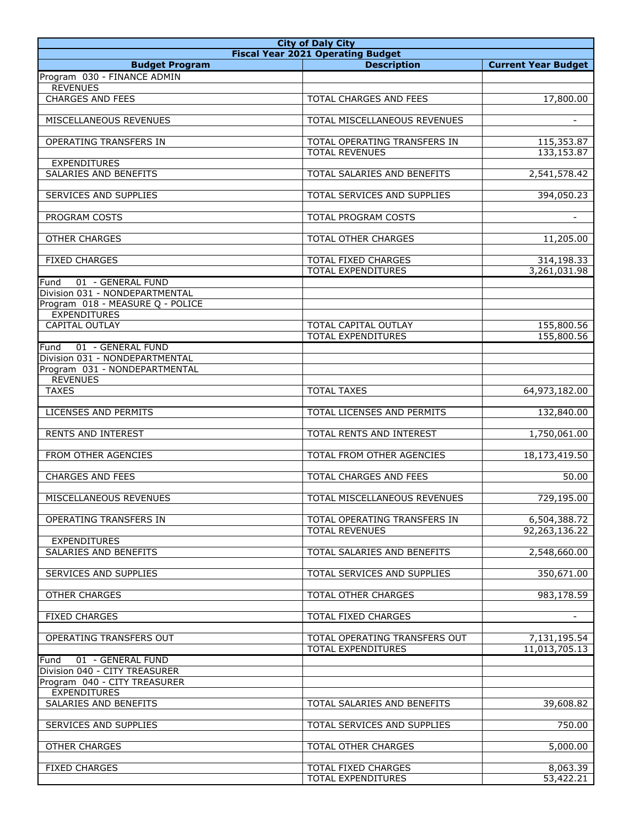|                                  |                                          | <b>City of Daly City</b>      |  |  |
|----------------------------------|------------------------------------------|-------------------------------|--|--|
|                                  | <b>Fiscal Year 2021 Operating Budget</b> |                               |  |  |
| <b>Budget Program</b>            | <b>Description</b>                       | <b>Current Year Budget</b>    |  |  |
| Program 030 - FINANCE ADMIN      |                                          |                               |  |  |
| <b>REVENUES</b>                  |                                          |                               |  |  |
| <b>CHARGES AND FEES</b>          | <b>TOTAL CHARGES AND FEES</b>            | 17,800.00                     |  |  |
|                                  |                                          |                               |  |  |
| MISCELLANEOUS REVENUES           | TOTAL MISCELLANEOUS REVENUES             | $\blacksquare$                |  |  |
|                                  |                                          |                               |  |  |
| OPERATING TRANSFERS IN           | TOTAL OPERATING TRANSFERS IN             | 115,353.87                    |  |  |
|                                  | <b>TOTAL REVENUES</b>                    | 133,153.87                    |  |  |
| <b>EXPENDITURES</b>              |                                          |                               |  |  |
| <b>SALARIES AND BENEFITS</b>     | TOTAL SALARIES AND BENEFITS              | 2,541,578.42                  |  |  |
|                                  |                                          |                               |  |  |
| SERVICES AND SUPPLIES            | TOTAL SERVICES AND SUPPLIES              | 394,050.23                    |  |  |
|                                  |                                          |                               |  |  |
| PROGRAM COSTS                    | TOTAL PROGRAM COSTS                      |                               |  |  |
|                                  |                                          |                               |  |  |
| <b>OTHER CHARGES</b>             | TOTAL OTHER CHARGES                      | 11,205.00                     |  |  |
|                                  |                                          |                               |  |  |
| <b>FIXED CHARGES</b>             | TOTAL FIXED CHARGES                      | 314,198.33                    |  |  |
|                                  | <b>TOTAL EXPENDITURES</b>                | 3,261,031.98                  |  |  |
| 01 - GENERAL FUND<br>Fund        |                                          |                               |  |  |
| Division 031 - NONDEPARTMENTAL   |                                          |                               |  |  |
| Program 018 - MEASURE Q - POLICE |                                          |                               |  |  |
| <b>EXPENDITURES</b>              |                                          |                               |  |  |
| <b>CAPITAL OUTLAY</b>            | TOTAL CAPITAL OUTLAY                     | 155,800.56                    |  |  |
|                                  | <b>TOTAL EXPENDITURES</b>                | 155,800.56                    |  |  |
| 01 - GENERAL FUND<br>Fund        |                                          |                               |  |  |
| Division 031 - NONDEPARTMENTAL   |                                          |                               |  |  |
| Program 031 - NONDEPARTMENTAL    |                                          |                               |  |  |
| <b>REVENUES</b>                  |                                          |                               |  |  |
| <b>TAXES</b>                     | <b>TOTAL TAXES</b>                       | 64,973,182.00                 |  |  |
|                                  |                                          |                               |  |  |
| <b>LICENSES AND PERMITS</b>      | TOTAL LICENSES AND PERMITS               | 132,840.00                    |  |  |
|                                  |                                          |                               |  |  |
| <b>RENTS AND INTEREST</b>        | TOTAL RENTS AND INTEREST                 | 1,750,061.00                  |  |  |
|                                  |                                          |                               |  |  |
| FROM OTHER AGENCIES              | TOTAL FROM OTHER AGENCIES                | 18,173,419.50                 |  |  |
|                                  |                                          |                               |  |  |
| <b>CHARGES AND FEES</b>          | TOTAL CHARGES AND FEES                   | 50.00                         |  |  |
|                                  |                                          |                               |  |  |
| MISCELLANEOUS REVENUES           | TOTAL MISCELLANEOUS REVENUES             | 729,195.00                    |  |  |
| OPERATING TRANSFERS IN           |                                          |                               |  |  |
|                                  | TOTAL OPERATING TRANSFERS IN             | 6,504,388.72<br>92,263,136.22 |  |  |
| <b>EXPENDITURES</b>              | <b>TOTAL REVENUES</b>                    |                               |  |  |
| SALARIES AND BENEFITS            | TOTAL SALARIES AND BENEFITS              | 2,548,660.00                  |  |  |
|                                  |                                          |                               |  |  |
| SERVICES AND SUPPLIES            | TOTAL SERVICES AND SUPPLIES              | 350,671.00                    |  |  |
|                                  |                                          |                               |  |  |
| <b>OTHER CHARGES</b>             | <b>TOTAL OTHER CHARGES</b>               | 983,178.59                    |  |  |
|                                  |                                          |                               |  |  |
| <b>FIXED CHARGES</b>             | TOTAL FIXED CHARGES                      | $\sim$                        |  |  |
|                                  |                                          |                               |  |  |
| OPERATING TRANSFERS OUT          | TOTAL OPERATING TRANSFERS OUT            | 7,131,195.54                  |  |  |
|                                  | TOTAL EXPENDITURES                       | 11,013,705.13                 |  |  |
| 01 - GENERAL FUND<br>Fund        |                                          |                               |  |  |
| Division 040 - CITY TREASURER    |                                          |                               |  |  |
| Program 040 - CITY TREASURER     |                                          |                               |  |  |
| <b>EXPENDITURES</b>              |                                          |                               |  |  |
| SALARIES AND BENEFITS            | TOTAL SALARIES AND BENEFITS              | 39,608.82                     |  |  |
|                                  |                                          |                               |  |  |
| SERVICES AND SUPPLIES            | TOTAL SERVICES AND SUPPLIES              | 750.00                        |  |  |
|                                  |                                          |                               |  |  |
| <b>OTHER CHARGES</b>             | TOTAL OTHER CHARGES                      | 5,000.00                      |  |  |
|                                  |                                          |                               |  |  |
| <b>FIXED CHARGES</b>             | TOTAL FIXED CHARGES                      | 8,063.39                      |  |  |
|                                  | TOTAL EXPENDITURES                       | 53,422.21                     |  |  |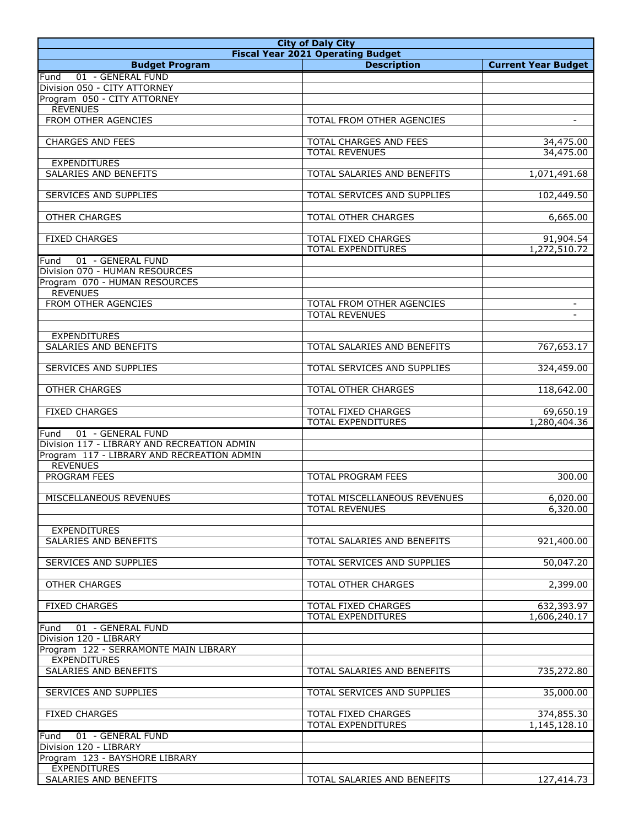| <b>City of Daly City</b>                                                 |                                          |                            |
|--------------------------------------------------------------------------|------------------------------------------|----------------------------|
|                                                                          | <b>Fiscal Year 2021 Operating Budget</b> |                            |
| <b>Budget Program</b>                                                    | <b>Description</b>                       | <b>Current Year Budget</b> |
| 01 - GENERAL FUND<br>Fund                                                |                                          |                            |
| Division 050 - CITY ATTORNEY                                             |                                          |                            |
| Program 050 - CITY ATTORNEY<br><b>REVENUES</b>                           |                                          |                            |
| FROM OTHER AGENCIES                                                      | TOTAL FROM OTHER AGENCIES                | $\blacksquare$             |
|                                                                          |                                          |                            |
| <b>CHARGES AND FEES</b>                                                  | TOTAL CHARGES AND FEES                   | 34,475.00                  |
|                                                                          | <b>TOTAL REVENUES</b>                    | 34,475.00                  |
| <b>EXPENDITURES</b>                                                      |                                          |                            |
| SALARIES AND BENEFITS                                                    | TOTAL SALARIES AND BENEFITS              | 1,071,491.68               |
|                                                                          |                                          |                            |
| <b>SERVICES AND SUPPLIES</b>                                             | TOTAL SERVICES AND SUPPLIES              | 102,449.50                 |
| <b>OTHER CHARGES</b>                                                     | <b>TOTAL OTHER CHARGES</b>               | 6,665.00                   |
|                                                                          |                                          |                            |
| <b>FIXED CHARGES</b>                                                     | TOTAL FIXED CHARGES                      | 91,904.54                  |
|                                                                          | <b>TOTAL EXPENDITURES</b>                | 1,272,510.72               |
| 01 - GENERAL FUND<br>Fund                                                |                                          |                            |
| Division 070 - HUMAN RESOURCES                                           |                                          |                            |
| Program 070 - HUMAN RESOURCES                                            |                                          |                            |
| <b>REVENUES</b>                                                          |                                          |                            |
| <b>FROM OTHER AGENCIES</b>                                               | <b>TOTAL FROM OTHER AGENCIES</b>         | $\blacksquare$             |
|                                                                          | <b>TOTAL REVENUES</b>                    |                            |
| <b>EXPENDITURES</b>                                                      |                                          |                            |
| SALARIES AND BENEFITS                                                    | TOTAL SALARIES AND BENEFITS              | 767,653.17                 |
|                                                                          |                                          |                            |
| SERVICES AND SUPPLIES                                                    | TOTAL SERVICES AND SUPPLIES              | 324,459.00                 |
|                                                                          |                                          |                            |
| <b>OTHER CHARGES</b>                                                     | <b>TOTAL OTHER CHARGES</b>               | 118,642.00                 |
|                                                                          |                                          |                            |
| <b>FIXED CHARGES</b>                                                     | <b>TOTAL FIXED CHARGES</b>               | 69,650.19                  |
|                                                                          | <b>TOTAL EXPENDITURES</b>                | 1,280,404.36               |
| 01 - GENERAL FUND<br>Fund<br>Division 117 - LIBRARY AND RECREATION ADMIN |                                          |                            |
| Program 117 - LIBRARY AND RECREATION ADMIN                               |                                          |                            |
| <b>REVENUES</b>                                                          |                                          |                            |
| PROGRAM FEES                                                             | TOTAL PROGRAM FEES                       | 300.00                     |
|                                                                          |                                          |                            |
| MISCELLANEOUS REVENUES                                                   | TOTAL MISCELLANEOUS REVENUES             | 6,020.00                   |
|                                                                          | <b>TOTAL REVENUES</b>                    | 6,320.00                   |
|                                                                          |                                          |                            |
| <b>EXPENDITURES</b>                                                      |                                          |                            |
| <b>SALARIES AND BENEFITS</b>                                             | TOTAL SALARIES AND BENEFITS              | 921,400.00                 |
| SERVICES AND SUPPLIES                                                    | TOTAL SERVICES AND SUPPLIES              | 50,047.20                  |
|                                                                          |                                          |                            |
| <b>OTHER CHARGES</b>                                                     | TOTAL OTHER CHARGES                      | 2,399.00                   |
|                                                                          |                                          |                            |
| <b>FIXED CHARGES</b>                                                     | TOTAL FIXED CHARGES                      | 632,393.97                 |
|                                                                          | TOTAL EXPENDITURES                       | 1,606,240.17               |
| 01 - GENERAL FUND<br>Fund                                                |                                          |                            |
| Division 120 - LIBRARY                                                   |                                          |                            |
| Program 122 - SERRAMONTE MAIN LIBRARY                                    |                                          |                            |
| <b>EXPENDITURES</b><br>SALARIES AND BENEFITS                             | TOTAL SALARIES AND BENEFITS              | 735,272.80                 |
|                                                                          |                                          |                            |
| SERVICES AND SUPPLIES                                                    | TOTAL SERVICES AND SUPPLIES              | 35,000.00                  |
|                                                                          |                                          |                            |
| <b>FIXED CHARGES</b>                                                     | TOTAL FIXED CHARGES                      | 374,855.30                 |
|                                                                          | TOTAL EXPENDITURES                       | 1,145,128.10               |
| 01 - GENERAL FUND<br>Fund                                                |                                          |                            |
| Division 120 - LIBRARY                                                   |                                          |                            |
| Program 123 - BAYSHORE LIBRARY                                           |                                          |                            |
| <b>EXPENDITURES</b><br>SALARIES AND BENEFITS                             |                                          |                            |
|                                                                          | TOTAL SALARIES AND BENEFITS              | 127,414.73                 |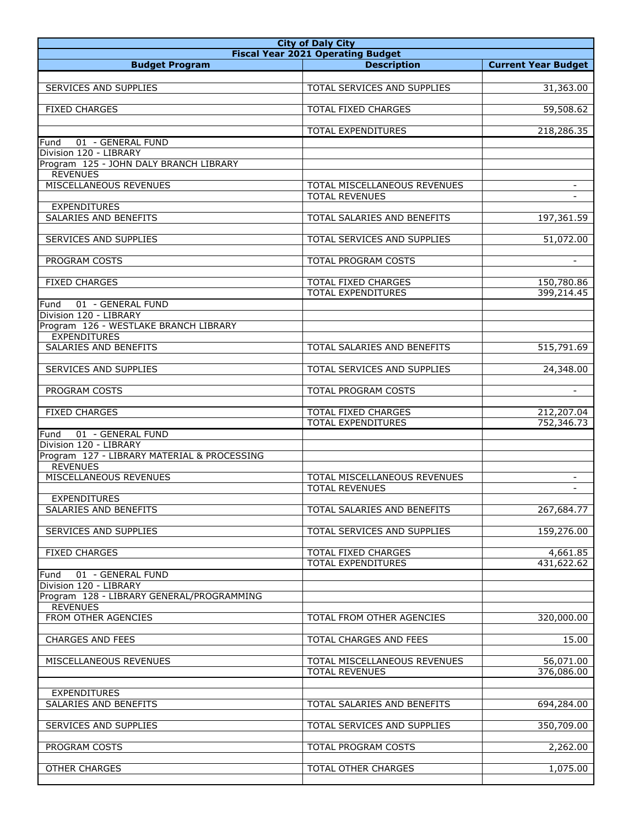| <b>City of Daly City</b>                    |                                                  |                            |
|---------------------------------------------|--------------------------------------------------|----------------------------|
|                                             | <b>Fiscal Year 2021 Operating Budget</b>         |                            |
| <b>Budget Program</b>                       | <b>Description</b>                               | <b>Current Year Budget</b> |
|                                             |                                                  |                            |
| SERVICES AND SUPPLIES                       | TOTAL SERVICES AND SUPPLIES                      | 31,363.00                  |
| <b>FIXED CHARGES</b>                        | <b>TOTAL FIXED CHARGES</b>                       | 59,508.62                  |
|                                             |                                                  |                            |
|                                             | TOTAL EXPENDITURES                               | 218,286.35                 |
| 01 - GENERAL FUND<br>Fund                   |                                                  |                            |
| Division 120 - LIBRARY                      |                                                  |                            |
| Program 125 - JOHN DALY BRANCH LIBRARY      |                                                  |                            |
| <b>REVENUES</b>                             |                                                  |                            |
| MISCELLANEOUS REVENUES                      | <b>TOTAL MISCELLANEOUS REVENUES</b>              | $\sim$                     |
| <b>EXPENDITURES</b>                         | <b>TOTAL REVENUES</b>                            |                            |
| SALARIES AND BENEFITS                       | TOTAL SALARIES AND BENEFITS                      | 197,361.59                 |
|                                             |                                                  |                            |
| SERVICES AND SUPPLIES                       | TOTAL SERVICES AND SUPPLIES                      | 51,072.00                  |
|                                             |                                                  |                            |
| PROGRAM COSTS                               | <b>TOTAL PROGRAM COSTS</b>                       |                            |
|                                             |                                                  |                            |
| <b>FIXED CHARGES</b>                        | TOTAL FIXED CHARGES<br><b>TOTAL EXPENDITURES</b> | 150,780.86<br>399,214.45   |
| 01 - GENERAL FUND                           |                                                  |                            |
| Fund<br>Division 120 - LIBRARY              |                                                  |                            |
| Program 126 - WESTLAKE BRANCH LIBRARY       |                                                  |                            |
| <b>EXPENDITURES</b>                         |                                                  |                            |
| SALARIES AND BENEFITS                       | TOTAL SALARIES AND BENEFITS                      | 515,791.69                 |
|                                             |                                                  |                            |
| SERVICES AND SUPPLIES                       | TOTAL SERVICES AND SUPPLIES                      | 24,348.00                  |
|                                             |                                                  |                            |
| PROGRAM COSTS                               | TOTAL PROGRAM COSTS                              | $\blacksquare$             |
| <b>FIXED CHARGES</b>                        | TOTAL FIXED CHARGES                              | 212,207.04                 |
|                                             | TOTAL EXPENDITURES                               | 752,346.73                 |
| 01 - GENERAL FUND<br>Fund                   |                                                  |                            |
| Division 120 - LIBRARY                      |                                                  |                            |
| Program 127 - LIBRARY MATERIAL & PROCESSING |                                                  |                            |
| <b>REVENUES</b>                             |                                                  |                            |
| MISCELLANEOUS REVENUES                      | TOTAL MISCELLANEOUS REVENUES                     | $\sim$                     |
|                                             | <b>TOTAL REVENUES</b>                            |                            |
| <b>EXPENDITURES</b>                         | TOTAL SALARIES AND BENEFITS                      |                            |
| SALARIES AND BENEFITS                       |                                                  | 267,684.77                 |
| SERVICES AND SUPPLIES                       | TOTAL SERVICES AND SUPPLIES                      | 159,276.00                 |
|                                             |                                                  |                            |
| <b>FIXED CHARGES</b>                        | TOTAL FIXED CHARGES                              | 4,661.85                   |
|                                             | TOTAL EXPENDITURES                               | 431,622.62                 |
| 01 - GENERAL FUND<br>Fund                   |                                                  |                            |
| Division 120 - LIBRARY                      |                                                  |                            |
| Program 128 - LIBRARY GENERAL/PROGRAMMING   |                                                  |                            |
| <b>REVENUES</b><br>FROM OTHER AGENCIES      | TOTAL FROM OTHER AGENCIES                        | 320,000.00                 |
|                                             |                                                  |                            |
| <b>CHARGES AND FEES</b>                     | TOTAL CHARGES AND FEES                           | 15.00                      |
|                                             |                                                  |                            |
| MISCELLANEOUS REVENUES                      | TOTAL MISCELLANEOUS REVENUES                     | 56,071.00                  |
|                                             | <b>TOTAL REVENUES</b>                            | 376,086.00                 |
|                                             |                                                  |                            |
| <b>EXPENDITURES</b>                         |                                                  |                            |
| SALARIES AND BENEFITS                       | TOTAL SALARIES AND BENEFITS                      | 694,284.00                 |
| SERVICES AND SUPPLIES                       | TOTAL SERVICES AND SUPPLIES                      | 350,709.00                 |
|                                             |                                                  |                            |
| PROGRAM COSTS                               | TOTAL PROGRAM COSTS                              | 2,262.00                   |
|                                             |                                                  |                            |
| <b>OTHER CHARGES</b>                        | TOTAL OTHER CHARGES                              | 1,075.00                   |
|                                             |                                                  |                            |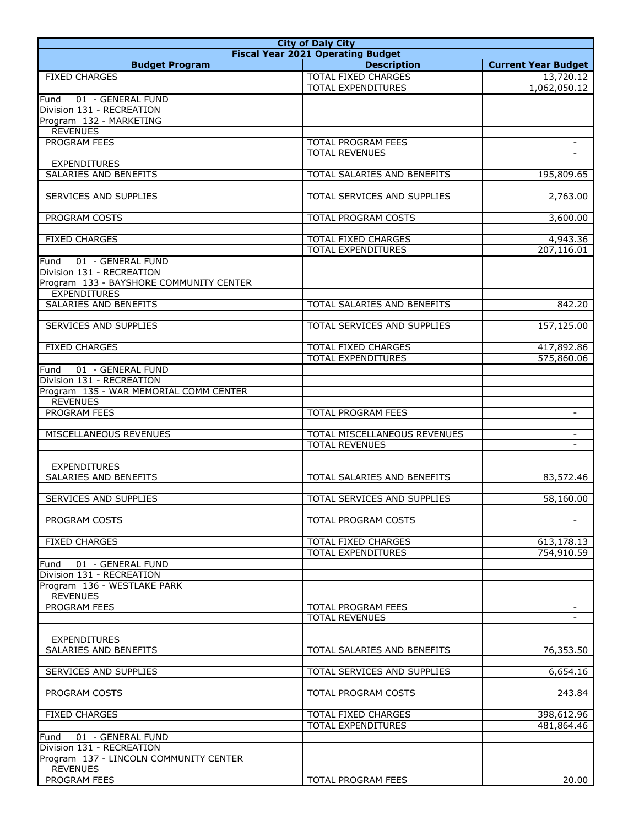| <b>City of Daly City</b>                               |                                                  |                            |
|--------------------------------------------------------|--------------------------------------------------|----------------------------|
|                                                        | <b>Fiscal Year 2021 Operating Budget</b>         |                            |
| <b>Budget Program</b>                                  | <b>Description</b>                               | <b>Current Year Budget</b> |
| <b>FIXED CHARGES</b>                                   | TOTAL FIXED CHARGES                              | 13,720.12                  |
|                                                        | <b>TOTAL EXPENDITURES</b>                        | 1,062,050.12               |
| 01 - GENERAL FUND<br>Fund                              |                                                  |                            |
| Division 131 - RECREATION                              |                                                  |                            |
| Program 132 - MARKETING                                |                                                  |                            |
| <b>REVENUES</b>                                        |                                                  |                            |
| PROGRAM FEES                                           | <b>TOTAL PROGRAM FEES</b>                        |                            |
|                                                        | <b>TOTAL REVENUES</b>                            | $\sim$                     |
| <b>EXPENDITURES</b>                                    |                                                  |                            |
| SALARIES AND BENEFITS                                  | TOTAL SALARIES AND BENEFITS                      | 195,809.65                 |
|                                                        |                                                  |                            |
| SERVICES AND SUPPLIES                                  | TOTAL SERVICES AND SUPPLIES                      | 2,763.00                   |
|                                                        |                                                  |                            |
| PROGRAM COSTS                                          | TOTAL PROGRAM COSTS                              | 3,600.00                   |
|                                                        |                                                  |                            |
| <b>FIXED CHARGES</b>                                   | TOTAL FIXED CHARGES                              | 4,943.36                   |
|                                                        | TOTAL EXPENDITURES                               | 207,116.01                 |
| 01 - GENERAL FUND<br>Fund                              |                                                  |                            |
| Division 131 - RECREATION                              |                                                  |                            |
| Program 133 - BAYSHORE COMMUNITY CENTER                |                                                  |                            |
| <b>EXPENDITURES</b>                                    |                                                  |                            |
| SALARIES AND BENEFITS                                  | TOTAL SALARIES AND BENEFITS                      | 842.20                     |
|                                                        |                                                  |                            |
| SERVICES AND SUPPLIES                                  | TOTAL SERVICES AND SUPPLIES                      | 157,125.00                 |
|                                                        |                                                  |                            |
| <b>FIXED CHARGES</b>                                   | TOTAL FIXED CHARGES<br><b>TOTAL EXPENDITURES</b> | 417,892.86<br>575,860.06   |
|                                                        |                                                  |                            |
| 01 - GENERAL FUND<br>Fund<br>Division 131 - RECREATION |                                                  |                            |
| Program 135 - WAR MEMORIAL COMM CENTER                 |                                                  |                            |
| <b>REVENUES</b>                                        |                                                  |                            |
| PROGRAM FEES                                           | TOTAL PROGRAM FEES                               | $\blacksquare$             |
|                                                        |                                                  |                            |
| MISCELLANEOUS REVENUES                                 | TOTAL MISCELLANEOUS REVENUES                     | $\blacksquare$             |
|                                                        | <b>TOTAL REVENUES</b>                            |                            |
|                                                        |                                                  |                            |
| <b>EXPENDITURES</b>                                    |                                                  |                            |
| <b>SALARIES AND BENEFITS</b>                           | TOTAL SALARIES AND BENEFITS                      | 83,572.46                  |
|                                                        |                                                  |                            |
| SERVICES AND SUPPLIES                                  | TOTAL SERVICES AND SUPPLIES                      | 58,160.00                  |
|                                                        |                                                  |                            |
| PROGRAM COSTS                                          | TOTAL PROGRAM COSTS                              |                            |
|                                                        |                                                  |                            |
| <b>FIXED CHARGES</b>                                   | TOTAL FIXED CHARGES                              | 613,178.13                 |
|                                                        | TOTAL EXPENDITURES                               | 754,910.59                 |
| 01 - GENERAL FUND<br>Fund                              |                                                  |                            |
| Division 131 - RECREATION                              |                                                  |                            |
| Program 136 - WESTLAKE PARK                            |                                                  |                            |
| <b>REVENUES</b>                                        |                                                  |                            |
| PROGRAM FEES                                           | <b>TOTAL PROGRAM FEES</b>                        |                            |
|                                                        | <b>TOTAL REVENUES</b>                            |                            |
|                                                        |                                                  |                            |
| <b>EXPENDITURES</b>                                    |                                                  |                            |
| SALARIES AND BENEFITS                                  | TOTAL SALARIES AND BENEFITS                      | 76,353.50                  |
|                                                        |                                                  |                            |
| SERVICES AND SUPPLIES                                  | TOTAL SERVICES AND SUPPLIES                      | 6,654.16                   |
|                                                        |                                                  |                            |
| PROGRAM COSTS                                          | TOTAL PROGRAM COSTS                              | 243.84                     |
| <b>FIXED CHARGES</b>                                   | TOTAL FIXED CHARGES                              |                            |
|                                                        | TOTAL EXPENDITURES                               | 398,612.96<br>481,864.46   |
| 01 - GENERAL FUND<br>Fund                              |                                                  |                            |
| Division 131 - RECREATION                              |                                                  |                            |
| Program 137 - LINCOLN COMMUNITY CENTER                 |                                                  |                            |
| <b>REVENUES</b>                                        |                                                  |                            |
| PROGRAM FEES                                           | TOTAL PROGRAM FEES                               | 20.00                      |
|                                                        |                                                  |                            |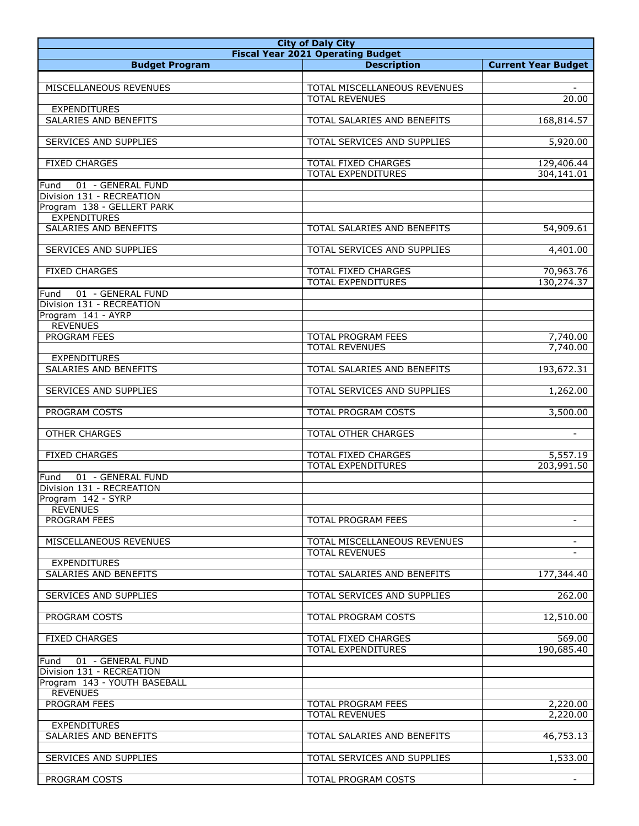| <b>City of Daly City</b>        |                                                  |                            |
|---------------------------------|--------------------------------------------------|----------------------------|
|                                 | <b>Fiscal Year 2021 Operating Budget</b>         |                            |
| <b>Budget Program</b>           | <b>Description</b>                               | <b>Current Year Budget</b> |
|                                 |                                                  |                            |
| MISCELLANEOUS REVENUES          | TOTAL MISCELLANEOUS REVENUES                     |                            |
|                                 | <b>TOTAL REVENUES</b>                            | 20.00                      |
| <b>EXPENDITURES</b>             |                                                  |                            |
| SALARIES AND BENEFITS           | TOTAL SALARIES AND BENEFITS                      | 168,814.57                 |
| <b>SERVICES AND SUPPLIES</b>    | TOTAL SERVICES AND SUPPLIES                      | 5,920.00                   |
|                                 |                                                  |                            |
| <b>FIXED CHARGES</b>            | TOTAL FIXED CHARGES                              | 129,406.44                 |
|                                 | <b>TOTAL EXPENDITURES</b>                        | 304,141.01                 |
| 01 - GENERAL FUND<br>Fund       |                                                  |                            |
| Division 131 - RECREATION       |                                                  |                            |
| Program 138 - GELLERT PARK      |                                                  |                            |
| <b>EXPENDITURES</b>             |                                                  |                            |
| SALARIES AND BENEFITS           | TOTAL SALARIES AND BENEFITS                      | 54,909.61                  |
| <b>SERVICES AND SUPPLIES</b>    | TOTAL SERVICES AND SUPPLIES                      | 4,401.00                   |
|                                 |                                                  |                            |
| <b>FIXED CHARGES</b>            | TOTAL FIXED CHARGES                              | 70,963.76                  |
|                                 | <b>TOTAL EXPENDITURES</b>                        | 130,274.37                 |
| 01 - GENERAL FUND<br>Fund       |                                                  |                            |
| Division 131 - RECREATION       |                                                  |                            |
| Program 141 - AYRP              |                                                  |                            |
| <b>REVENUES</b>                 |                                                  |                            |
| <b>PROGRAM FEES</b>             | TOTAL PROGRAM FEES                               | 7,740.00                   |
| <b>EXPENDITURES</b>             | <b>TOTAL REVENUES</b>                            | 7,740.00                   |
| SALARIES AND BENEFITS           | TOTAL SALARIES AND BENEFITS                      | 193,672.31                 |
|                                 |                                                  |                            |
| SERVICES AND SUPPLIES           | TOTAL SERVICES AND SUPPLIES                      | 1,262.00                   |
|                                 |                                                  |                            |
| PROGRAM COSTS                   | TOTAL PROGRAM COSTS                              | 3,500.00                   |
|                                 |                                                  |                            |
| <b>OTHER CHARGES</b>            | TOTAL OTHER CHARGES                              | $\equiv$                   |
|                                 |                                                  |                            |
| <b>FIXED CHARGES</b>            | TOTAL FIXED CHARGES<br><b>TOTAL EXPENDITURES</b> | 5,557.19<br>203,991.50     |
| 01 - GENERAL FUND<br>Fund       |                                                  |                            |
| Division 131 - RECREATION       |                                                  |                            |
| Program 142 - SYRP              |                                                  |                            |
| <b>REVENUES</b>                 |                                                  |                            |
| PROGRAM FEES                    | <b>TOTAL PROGRAM FEES</b>                        | $\blacksquare$             |
|                                 |                                                  |                            |
| MISCELLANEOUS REVENUES          | TOTAL MISCELLANEOUS REVENUES                     |                            |
|                                 | <b>TOTAL REVENUES</b>                            |                            |
| <b>EXPENDITURES</b>             |                                                  |                            |
| SALARIES AND BENEFITS           | TOTAL SALARIES AND BENEFITS                      | 177,344.40                 |
| SERVICES AND SUPPLIES           | TOTAL SERVICES AND SUPPLIES                      | 262.00                     |
|                                 |                                                  |                            |
| PROGRAM COSTS                   | TOTAL PROGRAM COSTS                              | 12,510.00                  |
|                                 |                                                  |                            |
| <b>FIXED CHARGES</b>            | TOTAL FIXED CHARGES                              | 569.00                     |
|                                 | <b>TOTAL EXPENDITURES</b>                        | 190,685.40                 |
| 01 - GENERAL FUND<br>Fund       |                                                  |                            |
| Division 131 - RECREATION       |                                                  |                            |
| Program 143 - YOUTH BASEBALL    |                                                  |                            |
| <b>REVENUES</b><br>PROGRAM FEES | TOTAL PROGRAM FEES                               | 2,220.00                   |
|                                 | <b>TOTAL REVENUES</b>                            | 2,220.00                   |
| <b>EXPENDITURES</b>             |                                                  |                            |
| SALARIES AND BENEFITS           | TOTAL SALARIES AND BENEFITS                      | 46,753.13                  |
|                                 |                                                  |                            |
| SERVICES AND SUPPLIES           | TOTAL SERVICES AND SUPPLIES                      | 1,533.00                   |
|                                 |                                                  |                            |
| PROGRAM COSTS                   | TOTAL PROGRAM COSTS                              |                            |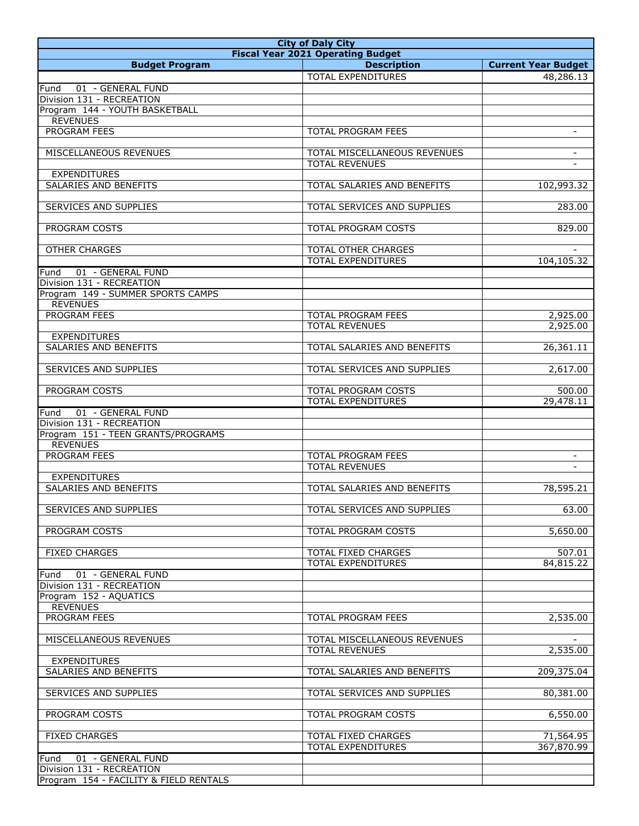| <b>City of Daly City</b>                                    |                                          |                            |
|-------------------------------------------------------------|------------------------------------------|----------------------------|
|                                                             | <b>Fiscal Year 2021 Operating Budget</b> |                            |
| <b>Budget Program</b>                                       | <b>Description</b>                       | <b>Current Year Budget</b> |
|                                                             | <b>TOTAL EXPENDITURES</b>                | 48,286.13                  |
| 01 - GENERAL FUND<br>Fund                                   |                                          |                            |
| Division 131 - RECREATION<br>Program 144 - YOUTH BASKETBALL |                                          |                            |
| <b>REVENUES</b>                                             |                                          |                            |
| PROGRAM FEES                                                | TOTAL PROGRAM FEES                       | $\sim$                     |
|                                                             |                                          |                            |
| MISCELLANEOUS REVENUES                                      | TOTAL MISCELLANEOUS REVENUES             | $\sim$                     |
|                                                             | <b>TOTAL REVENUES</b>                    | $\sim$                     |
| <b>EXPENDITURES</b>                                         |                                          |                            |
| <b>SALARIES AND BENEFITS</b>                                | TOTAL SALARIES AND BENEFITS              | 102,993.32                 |
|                                                             |                                          |                            |
| SERVICES AND SUPPLIES                                       | TOTAL SERVICES AND SUPPLIES              | 283.00                     |
| PROGRAM COSTS                                               | TOTAL PROGRAM COSTS                      | 829.00                     |
|                                                             |                                          |                            |
| <b>OTHER CHARGES</b>                                        | TOTAL OTHER CHARGES                      |                            |
|                                                             | <b>TOTAL EXPENDITURES</b>                | 104,105.32                 |
| 01 - GENERAL FUND<br>Fund                                   |                                          |                            |
| Division 131 - RECREATION                                   |                                          |                            |
| Program 149 - SUMMER SPORTS CAMPS                           |                                          |                            |
| <b>REVENUES</b>                                             |                                          |                            |
| PROGRAM FEES                                                | TOTAL PROGRAM FEES                       | 2,925.00                   |
|                                                             | <b>TOTAL REVENUES</b>                    | 2,925.00                   |
| <b>EXPENDITURES</b><br>SALARIES AND BENEFITS                | TOTAL SALARIES AND BENEFITS              | 26,361.11                  |
|                                                             |                                          |                            |
| SERVICES AND SUPPLIES                                       | TOTAL SERVICES AND SUPPLIES              | 2,617.00                   |
|                                                             |                                          |                            |
| PROGRAM COSTS                                               | TOTAL PROGRAM COSTS                      | 500.00                     |
|                                                             | <b>TOTAL EXPENDITURES</b>                | 29,478.11                  |
| 01 - GENERAL FUND<br>Fund                                   |                                          |                            |
| Division 131 - RECREATION                                   |                                          |                            |
| Program 151 - TEEN GRANTS/PROGRAMS                          |                                          |                            |
| <b>REVENUES</b>                                             |                                          |                            |
| PROGRAM FEES                                                | <b>TOTAL PROGRAM FEES</b>                | $\blacksquare$             |
| <b>EXPENDITURES</b>                                         | <b>TOTAL REVENUES</b>                    |                            |
| <b>SALARIES AND BENEFITS</b>                                | TOTAL SALARIES AND BENEFITS              | 78,595.21                  |
|                                                             |                                          |                            |
| SERVICES AND SUPPLIES                                       | TOTAL SERVICES AND SUPPLIES              | 63.00                      |
|                                                             |                                          |                            |
| PROGRAM COSTS                                               | TOTAL PROGRAM COSTS                      | 5,650.00                   |
|                                                             |                                          |                            |
| <b>FIXED CHARGES</b>                                        | TOTAL FIXED CHARGES                      | 507.01                     |
|                                                             | TOTAL EXPENDITURES                       | 84,815.22                  |
| 01 - GENERAL FUND<br>Fund                                   |                                          |                            |
| Division 131 - RECREATION<br>Program 152 - AQUATICS         |                                          |                            |
| <b>REVENUES</b>                                             |                                          |                            |
| PROGRAM FEES                                                | TOTAL PROGRAM FEES                       | 2,535.00                   |
|                                                             |                                          |                            |
| MISCELLANEOUS REVENUES                                      | TOTAL MISCELLANEOUS REVENUES             |                            |
|                                                             | <b>TOTAL REVENUES</b>                    | 2,535.00                   |
| <b>EXPENDITURES</b>                                         |                                          |                            |
| SALARIES AND BENEFITS                                       | TOTAL SALARIES AND BENEFITS              | 209,375.04                 |
|                                                             |                                          |                            |
| SERVICES AND SUPPLIES                                       | TOTAL SERVICES AND SUPPLIES              | 80,381.00                  |
| PROGRAM COSTS                                               | TOTAL PROGRAM COSTS                      | 6,550.00                   |
|                                                             |                                          |                            |
| <b>FIXED CHARGES</b>                                        | TOTAL FIXED CHARGES                      | 71,564.95                  |
|                                                             | TOTAL EXPENDITURES                       | 367,870.99                 |
| Fund<br>01 - GENERAL FUND                                   |                                          |                            |
| Division 131 - RECREATION                                   |                                          |                            |
| Program 154 - FACILITY & FIELD RENTALS                      |                                          |                            |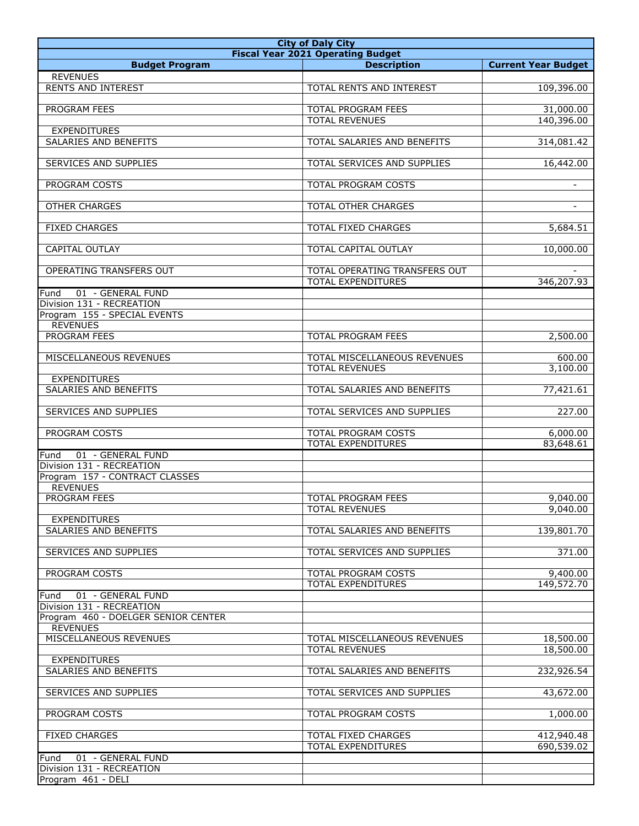| <b>City of Daly City</b>                               |                                                       |                            |
|--------------------------------------------------------|-------------------------------------------------------|----------------------------|
|                                                        | <b>Fiscal Year 2021 Operating Budget</b>              |                            |
| <b>Budget Program</b>                                  | <b>Description</b>                                    | <b>Current Year Budget</b> |
| <b>REVENUES</b><br><b>RENTS AND INTEREST</b>           | TOTAL RENTS AND INTEREST                              | 109,396.00                 |
|                                                        |                                                       |                            |
| PROGRAM FEES                                           | <b>TOTAL PROGRAM FEES</b>                             | 31,000.00                  |
|                                                        | <b>TOTAL REVENUES</b>                                 | 140,396.00                 |
| <b>EXPENDITURES</b>                                    |                                                       |                            |
| SALARIES AND BENEFITS                                  | TOTAL SALARIES AND BENEFITS                           | 314,081.42                 |
| SERVICES AND SUPPLIES                                  | TOTAL SERVICES AND SUPPLIES                           | 16,442.00                  |
|                                                        |                                                       |                            |
| PROGRAM COSTS                                          | TOTAL PROGRAM COSTS                                   | $\blacksquare$             |
|                                                        |                                                       |                            |
| OTHER CHARGES                                          | TOTAL OTHER CHARGES                                   | $\blacksquare$             |
| <b>FIXED CHARGES</b>                                   | TOTAL FIXED CHARGES                                   | $\overline{5,684.51}$      |
|                                                        |                                                       |                            |
| CAPITAL OUTLAY                                         | TOTAL CAPITAL OUTLAY                                  | 10,000.00                  |
| OPERATING TRANSFERS OUT                                | TOTAL OPERATING TRANSFERS OUT                         |                            |
|                                                        | <b>TOTAL EXPENDITURES</b>                             | 346,207.93                 |
| 01 - GENERAL FUND<br>Fund                              |                                                       |                            |
| Division 131 - RECREATION                              |                                                       |                            |
| Program 155 - SPECIAL EVENTS                           |                                                       |                            |
| <b>REVENUES</b><br>PROGRAM FEES                        | TOTAL PROGRAM FEES                                    | 2,500.00                   |
|                                                        |                                                       |                            |
| MISCELLANEOUS REVENUES                                 | TOTAL MISCELLANEOUS REVENUES                          | 600.00                     |
|                                                        | <b>TOTAL REVENUES</b>                                 | 3,100.00                   |
| <b>EXPENDITURES</b>                                    |                                                       |                            |
| SALARIES AND BENEFITS                                  | TOTAL SALARIES AND BENEFITS                           | 77,421.61                  |
| <b>SERVICES AND SUPPLIES</b>                           | TOTAL SERVICES AND SUPPLIES                           | 227.00                     |
|                                                        |                                                       |                            |
| PROGRAM COSTS                                          | TOTAL PROGRAM COSTS                                   | 6,000.00                   |
|                                                        | <b>TOTAL EXPENDITURES</b>                             | 83,648.61                  |
| 01 - GENERAL FUND<br>Fund<br>Division 131 - RECREATION |                                                       |                            |
| Program 157 - CONTRACT CLASSES                         |                                                       |                            |
| <b>REVENUES</b>                                        |                                                       |                            |
| PROGRAM FEES                                           | TOTAL PROGRAM FEES                                    | 9,040.00                   |
| <b>EXPENDITURES</b>                                    | <b>TOTAL REVENUES</b>                                 | 9,040.00                   |
| SALARIES AND BENEFITS                                  | TOTAL SALARIES AND BENEFITS                           | 139,801.70                 |
|                                                        |                                                       |                            |
| SERVICES AND SUPPLIES                                  | TOTAL SERVICES AND SUPPLIES                           | 371.00                     |
|                                                        |                                                       |                            |
| PROGRAM COSTS                                          | TOTAL PROGRAM COSTS<br><b>TOTAL EXPENDITURES</b>      | 9,400.00<br>149,572.70     |
| 01 - GENERAL FUND<br>Fund                              |                                                       |                            |
| Division 131 - RECREATION                              |                                                       |                            |
| Program 460 - DOELGER SENIOR CENTER                    |                                                       |                            |
| <b>REVENUES</b>                                        |                                                       |                            |
| MISCELLANEOUS REVENUES                                 | TOTAL MISCELLANEOUS REVENUES<br><b>TOTAL REVENUES</b> | 18,500.00<br>18,500.00     |
| EXPENDITURES                                           |                                                       |                            |
| SALARIES AND BENEFITS                                  | TOTAL SALARIES AND BENEFITS                           | 232,926.54                 |
|                                                        |                                                       |                            |
| SERVICES AND SUPPLIES                                  | TOTAL SERVICES AND SUPPLIES                           | 43,672.00                  |
| PROGRAM COSTS                                          | TOTAL PROGRAM COSTS                                   | 1,000.00                   |
|                                                        |                                                       |                            |
| <b>FIXED CHARGES</b>                                   | TOTAL FIXED CHARGES                                   | 412,940.48                 |
|                                                        | TOTAL EXPENDITURES                                    | 690,539.02                 |
| 01 - GENERAL FUND<br>Fund<br>Division 131 - RECREATION |                                                       |                            |
| Program 461 - DELI                                     |                                                       |                            |
|                                                        |                                                       |                            |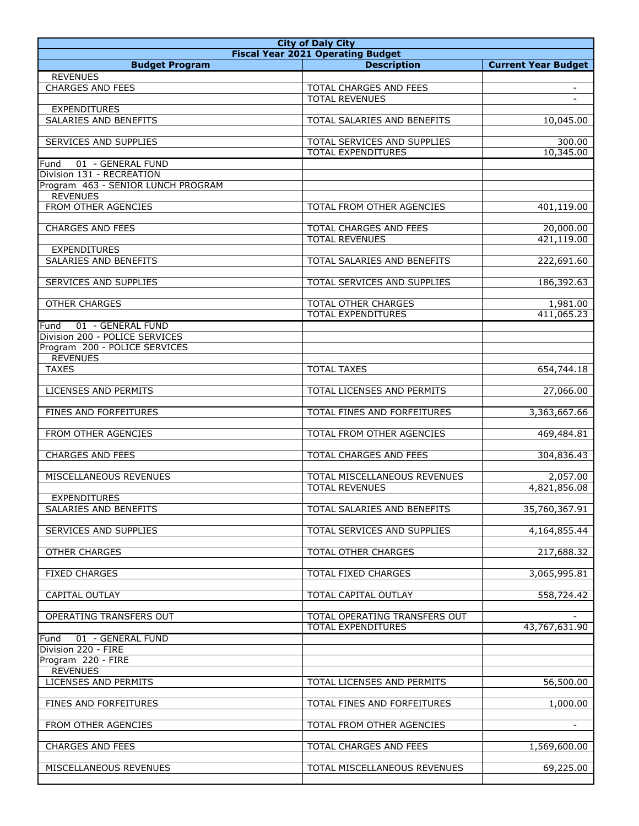| <b>City of Daly City</b>               |                                                            |                            |
|----------------------------------------|------------------------------------------------------------|----------------------------|
|                                        | <b>Fiscal Year 2021 Operating Budget</b>                   |                            |
| <b>Budget Program</b>                  | <b>Description</b>                                         | <b>Current Year Budget</b> |
| <b>REVENUES</b>                        |                                                            |                            |
| <b>CHARGES AND FEES</b>                | <b>TOTAL CHARGES AND FEES</b><br><b>TOTAL REVENUES</b>     |                            |
| <b>EXPENDITURES</b>                    |                                                            |                            |
| SALARIES AND BENEFITS                  | TOTAL SALARIES AND BENEFITS                                | 10,045.00                  |
|                                        |                                                            |                            |
| SERVICES AND SUPPLIES                  | TOTAL SERVICES AND SUPPLIES                                | 300.00                     |
|                                        | <b>TOTAL EXPENDITURES</b>                                  | 10,345.00                  |
| 01 - GENERAL FUND<br>Fund              |                                                            |                            |
| Division 131 - RECREATION              |                                                            |                            |
| Program 463 - SENIOR LUNCH PROGRAM     |                                                            |                            |
| <b>REVENUES</b><br>FROM OTHER AGENCIES | TOTAL FROM OTHER AGENCIES                                  | 401,119.00                 |
|                                        |                                                            |                            |
| <b>CHARGES AND FEES</b>                | <b>TOTAL CHARGES AND FEES</b>                              | 20,000.00                  |
|                                        | <b>TOTAL REVENUES</b>                                      | 421,119.00                 |
| <b>EXPENDITURES</b>                    |                                                            |                            |
| SALARIES AND BENEFITS                  | TOTAL SALARIES AND BENEFITS                                | 222,691.60                 |
|                                        |                                                            |                            |
| <b>SERVICES AND SUPPLIES</b>           | TOTAL SERVICES AND SUPPLIES                                | 186,392.63                 |
|                                        | <b>TOTAL OTHER CHARGES</b>                                 |                            |
| <b>OTHER CHARGES</b>                   | <b>TOTAL EXPENDITURES</b>                                  | 1,981.00<br>411,065.23     |
| 01 - GENERAL FUND<br>Fund              |                                                            |                            |
| Division 200 - POLICE SERVICES         |                                                            |                            |
| Program 200 - POLICE SERVICES          |                                                            |                            |
| <b>REVENUES</b>                        |                                                            |                            |
| <b>TAXES</b>                           | <b>TOTAL TAXES</b>                                         | 654,744.18                 |
|                                        |                                                            |                            |
| LICENSES AND PERMITS                   | TOTAL LICENSES AND PERMITS                                 | 27,066.00                  |
|                                        |                                                            |                            |
| FINES AND FORFEITURES                  | TOTAL FINES AND FORFEITURES                                | 3,363,667.66               |
| FROM OTHER AGENCIES                    | TOTAL FROM OTHER AGENCIES                                  | 469,484.81                 |
|                                        |                                                            |                            |
| <b>CHARGES AND FEES</b>                | <b>TOTAL CHARGES AND FEES</b>                              | 304,836.43                 |
|                                        |                                                            |                            |
| MISCELLANEOUS REVENUES                 | TOTAL MISCELLANEOUS REVENUES                               | 2,057.00                   |
|                                        | <b>TOTAL REVENUES</b>                                      | 4,821,856.08               |
| <b>EXPENDITURES</b>                    |                                                            |                            |
| <b>SALARIES AND BENEFITS</b>           | TOTAL SALARIES AND BENEFITS                                | 35,760,367.91              |
| SERVICES AND SUPPLIES                  | TOTAL SERVICES AND SUPPLIES                                | 4,164,855.44               |
|                                        |                                                            |                            |
| <b>OTHER CHARGES</b>                   | TOTAL OTHER CHARGES                                        | 217,688.32                 |
|                                        |                                                            |                            |
| <b>FIXED CHARGES</b>                   | TOTAL FIXED CHARGES                                        | 3,065,995.81               |
|                                        |                                                            |                            |
| CAPITAL OUTLAY                         | TOTAL CAPITAL OUTLAY                                       | 558,724.42                 |
|                                        |                                                            |                            |
| OPERATING TRANSFERS OUT                | TOTAL OPERATING TRANSFERS OUT<br><b>TOTAL EXPENDITURES</b> |                            |
| 01 - GENERAL FUND<br>Fund              |                                                            | 43,767,631.90              |
| Division 220 - FIRE                    |                                                            |                            |
| Program 220 - FIRE                     |                                                            |                            |
| <b>REVENUES</b>                        |                                                            |                            |
| LICENSES AND PERMITS                   | TOTAL LICENSES AND PERMITS                                 | 56,500.00                  |
|                                        |                                                            |                            |
| FINES AND FORFEITURES                  | TOTAL FINES AND FORFEITURES                                | 1,000.00                   |
|                                        |                                                            |                            |
| FROM OTHER AGENCIES                    | TOTAL FROM OTHER AGENCIES                                  |                            |
| <b>CHARGES AND FEES</b>                | TOTAL CHARGES AND FEES                                     | 1,569,600.00               |
|                                        |                                                            |                            |
| MISCELLANEOUS REVENUES                 | TOTAL MISCELLANEOUS REVENUES                               | 69,225.00                  |
|                                        |                                                            |                            |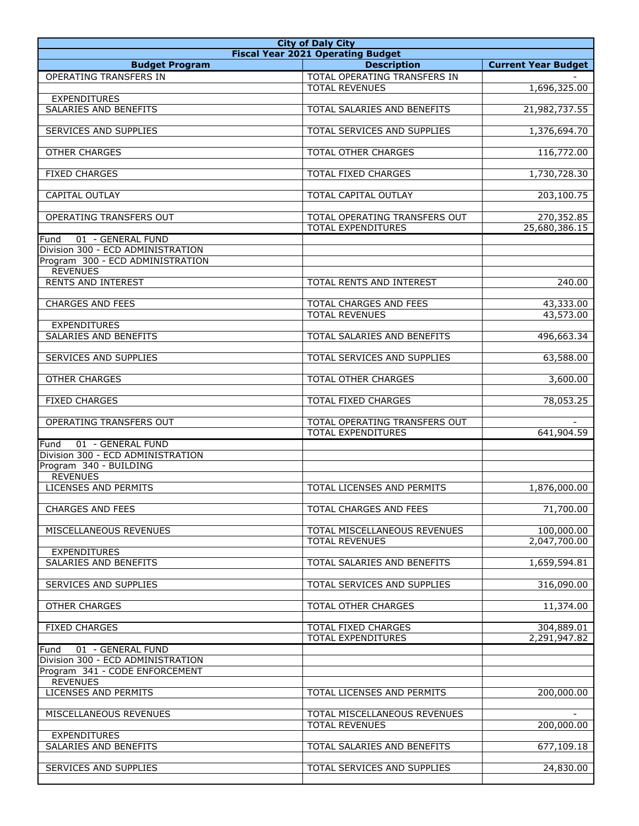| <b>City of Daly City</b>                                                       |                                                                |                             |
|--------------------------------------------------------------------------------|----------------------------------------------------------------|-----------------------------|
|                                                                                | <b>Fiscal Year 2021 Operating Budget</b><br><b>Description</b> |                             |
| <b>Budget Program</b><br>OPERATING TRANSFERS IN                                | TOTAL OPERATING TRANSFERS IN                                   | <b>Current Year Budget</b>  |
| <b>EXPENDITURES</b>                                                            | <b>TOTAL REVENUES</b>                                          | 1,696,325.00                |
| SALARIES AND BENEFITS                                                          | TOTAL SALARIES AND BENEFITS                                    | 21,982,737.55               |
| SERVICES AND SUPPLIES                                                          | TOTAL SERVICES AND SUPPLIES                                    | 1,376,694.70                |
| <b>OTHER CHARGES</b>                                                           | <b>TOTAL OTHER CHARGES</b>                                     | 116,772.00                  |
| <b>FIXED CHARGES</b>                                                           | TOTAL FIXED CHARGES                                            | 1,730,728.30                |
| CAPITAL OUTLAY                                                                 | <b>TOTAL CAPITAL OUTLAY</b>                                    | 203,100.75                  |
| OPERATING TRANSFERS OUT                                                        | TOTAL OPERATING TRANSFERS OUT<br><b>TOTAL EXPENDITURES</b>     | 270,352.85<br>25,680,386.15 |
| 01 - GENERAL FUND<br>Fund                                                      |                                                                |                             |
| Division 300 - ECD ADMINISTRATION                                              |                                                                |                             |
| Program 300 - ECD ADMINISTRATION<br><b>REVENUES</b>                            |                                                                |                             |
| <b>RENTS AND INTEREST</b>                                                      | TOTAL RENTS AND INTEREST                                       | $\overline{2}40.00$         |
| <b>CHARGES AND FEES</b>                                                        | <b>TOTAL CHARGES AND FEES</b>                                  | 43,333.00                   |
|                                                                                | <b>TOTAL REVENUES</b>                                          | 43,573.00                   |
| <b>EXPENDITURES</b>                                                            |                                                                |                             |
| SALARIES AND BENEFITS                                                          | TOTAL SALARIES AND BENEFITS                                    | 496,663.34                  |
| SERVICES AND SUPPLIES                                                          | TOTAL SERVICES AND SUPPLIES                                    | 63,588.00                   |
| <b>OTHER CHARGES</b>                                                           | TOTAL OTHER CHARGES                                            | 3,600.00                    |
| <b>FIXED CHARGES</b>                                                           | TOTAL FIXED CHARGES                                            | 78,053.25                   |
| OPERATING TRANSFERS OUT                                                        | TOTAL OPERATING TRANSFERS OUT<br><b>TOTAL EXPENDITURES</b>     | 641,904.59                  |
| 01 - GENERAL FUND<br>Fund                                                      |                                                                |                             |
| Division 300 - ECD ADMINISTRATION<br>Program 340 - BUILDING<br><b>REVENUES</b> |                                                                |                             |
| <b>LICENSES AND PERMITS</b>                                                    | TOTAL LICENSES AND PERMITS                                     | 1,876,000.00                |
| <b>CHARGES AND FEES</b>                                                        | TOTAL CHARGES AND FEES                                         | 71,700.00                   |
| MISCELLANEOUS REVENUES                                                         | TOTAL MISCELLANEOUS REVENUES<br><b>TOTAL REVENUES</b>          | 100,000.00<br>2,047,700.00  |
| <b>EXPENDITURES</b><br>SALARIES AND BENEFITS                                   | TOTAL SALARIES AND BENEFITS                                    | 1,659,594.81                |
| SERVICES AND SUPPLIES                                                          | TOTAL SERVICES AND SUPPLIES                                    | 316,090.00                  |
| <b>OTHER CHARGES</b>                                                           | TOTAL OTHER CHARGES                                            | 11,374.00                   |
| <b>FIXED CHARGES</b>                                                           | TOTAL FIXED CHARGES<br><b>TOTAL EXPENDITURES</b>               | 304,889.01<br>2,291,947.82  |
| 01 - GENERAL FUND<br>Fund                                                      |                                                                |                             |
| Division 300 - ECD ADMINISTRATION                                              |                                                                |                             |
| Program 341 - CODE ENFORCEMENT                                                 |                                                                |                             |
| <b>REVENUES</b><br><b>LICENSES AND PERMITS</b>                                 | TOTAL LICENSES AND PERMITS                                     | 200,000.00                  |
| MISCELLANEOUS REVENUES                                                         | TOTAL MISCELLANEOUS REVENUES                                   |                             |
| <b>EXPENDITURES</b>                                                            | <b>TOTAL REVENUES</b>                                          | 200,000.00                  |
| SALARIES AND BENEFITS                                                          | TOTAL SALARIES AND BENEFITS                                    | $\frac{677,109.18}{ }$      |
| SERVICES AND SUPPLIES                                                          | TOTAL SERVICES AND SUPPLIES                                    | 24,830.00                   |
|                                                                                |                                                                |                             |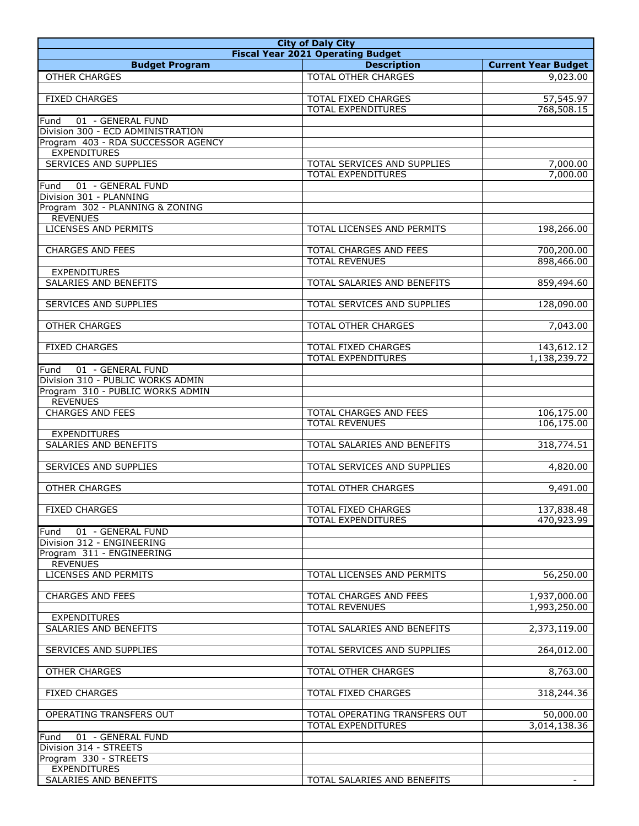| <b>City of Daly City</b>           |                                                          |                              |
|------------------------------------|----------------------------------------------------------|------------------------------|
|                                    | <b>Fiscal Year 2021 Operating Budget</b>                 |                              |
| <b>Budget Program</b>              | <b>Description</b>                                       | <b>Current Year Budget</b>   |
| <b>OTHER CHARGES</b>               | <b>TOTAL OTHER CHARGES</b>                               | 9,023.00                     |
|                                    |                                                          |                              |
| <b>FIXED CHARGES</b>               | <b>TOTAL FIXED CHARGES</b>                               | 57,545.97                    |
|                                    | <b>TOTAL EXPENDITURES</b>                                | 768,508.15                   |
| 01 - GENERAL FUND<br>Fund          |                                                          |                              |
| Division 300 - ECD ADMINISTRATION  |                                                          |                              |
| Program 403 - RDA SUCCESSOR AGENCY |                                                          |                              |
| <b>EXPENDITURES</b>                |                                                          |                              |
| <b>SERVICES AND SUPPLIES</b>       | TOTAL SERVICES AND SUPPLIES<br><b>TOTAL EXPENDITURES</b> | 7,000.00<br>7,000.00         |
| 01 - GENERAL FUND                  |                                                          |                              |
| Fund<br>Division 301 - PLANNING    |                                                          |                              |
| Program 302 - PLANNING & ZONING    |                                                          |                              |
| <b>REVENUES</b>                    |                                                          |                              |
| <b>LICENSES AND PERMITS</b>        | TOTAL LICENSES AND PERMITS                               | 198,266.00                   |
|                                    |                                                          |                              |
| <b>CHARGES AND FEES</b>            | TOTAL CHARGES AND FEES                                   | 700,200.00                   |
|                                    | <b>TOTAL REVENUES</b>                                    | 898,466.00                   |
| <b>EXPENDITURES</b>                |                                                          |                              |
| SALARIES AND BENEFITS              | TOTAL SALARIES AND BENEFITS                              | 859,494.60                   |
|                                    |                                                          |                              |
| SERVICES AND SUPPLIES              | TOTAL SERVICES AND SUPPLIES                              | 128,090.00                   |
|                                    |                                                          |                              |
| <b>OTHER CHARGES</b>               | TOTAL OTHER CHARGES                                      | 7,043.00                     |
|                                    |                                                          |                              |
| <b>FIXED CHARGES</b>               | <b>TOTAL FIXED CHARGES</b>                               | 143,612.12                   |
|                                    | <b>TOTAL EXPENDITURES</b>                                | 1,138,239.72                 |
| 01 - GENERAL FUND<br>Fund          |                                                          |                              |
| Division 310 - PUBLIC WORKS ADMIN  |                                                          |                              |
| Program 310 - PUBLIC WORKS ADMIN   |                                                          |                              |
| <b>REVENUES</b>                    |                                                          |                              |
| <b>CHARGES AND FEES</b>            | TOTAL CHARGES AND FEES                                   | 106,175.00                   |
|                                    | <b>TOTAL REVENUES</b>                                    | 106,175.00                   |
| <b>EXPENDITURES</b>                |                                                          |                              |
| <b>SALARIES AND BENEFITS</b>       | TOTAL SALARIES AND BENEFITS                              | 318,774.51                   |
|                                    |                                                          |                              |
| <b>SERVICES AND SUPPLIES</b>       | TOTAL SERVICES AND SUPPLIES                              | 4,820.00                     |
|                                    |                                                          |                              |
| <b>OTHER CHARGES</b>               | TOTAL OTHER CHARGES                                      | 9,491.00                     |
|                                    |                                                          |                              |
| <b>FIXED CHARGES</b>               | TOTAL FIXED CHARGES                                      | 137,838.48                   |
|                                    | <b>TOTAL EXPENDITURES</b>                                | 470,923.99                   |
| 01 - GENERAL FUND<br>Fund          |                                                          |                              |
| Division 312 - ENGINEERING         |                                                          |                              |
| Program 311 - ENGINEERING          |                                                          |                              |
| <b>REVENUES</b>                    |                                                          |                              |
| <b>LICENSES AND PERMITS</b>        | TOTAL LICENSES AND PERMITS                               | 56,250.00                    |
| <b>CHARGES AND FEES</b>            | TOTAL CHARGES AND FEES                                   |                              |
|                                    | <b>TOTAL REVENUES</b>                                    | 1,937,000.00<br>1,993,250.00 |
| <b>EXPENDITURES</b>                |                                                          |                              |
| SALARIES AND BENEFITS              | TOTAL SALARIES AND BENEFITS                              | 2,373,119.00                 |
|                                    |                                                          |                              |
| SERVICES AND SUPPLIES              | TOTAL SERVICES AND SUPPLIES                              | 264,012.00                   |
|                                    |                                                          |                              |
| <b>OTHER CHARGES</b>               | <b>TOTAL OTHER CHARGES</b>                               | 8,763.00                     |
|                                    |                                                          |                              |
| <b>FIXED CHARGES</b>               | TOTAL FIXED CHARGES                                      | 318,244.36                   |
|                                    |                                                          |                              |
| OPERATING TRANSFERS OUT            | TOTAL OPERATING TRANSFERS OUT                            | 50,000.00                    |
|                                    | <b>TOTAL EXPENDITURES</b>                                | 3,014,138.36                 |
| 01 - GENERAL FUND<br>Fund          |                                                          |                              |
| Division 314 - STREETS             |                                                          |                              |
| Program 330 - STREETS              |                                                          |                              |
| <b>EXPENDITURES</b>                |                                                          |                              |
| SALARIES AND BENEFITS              | TOTAL SALARIES AND BENEFITS                              |                              |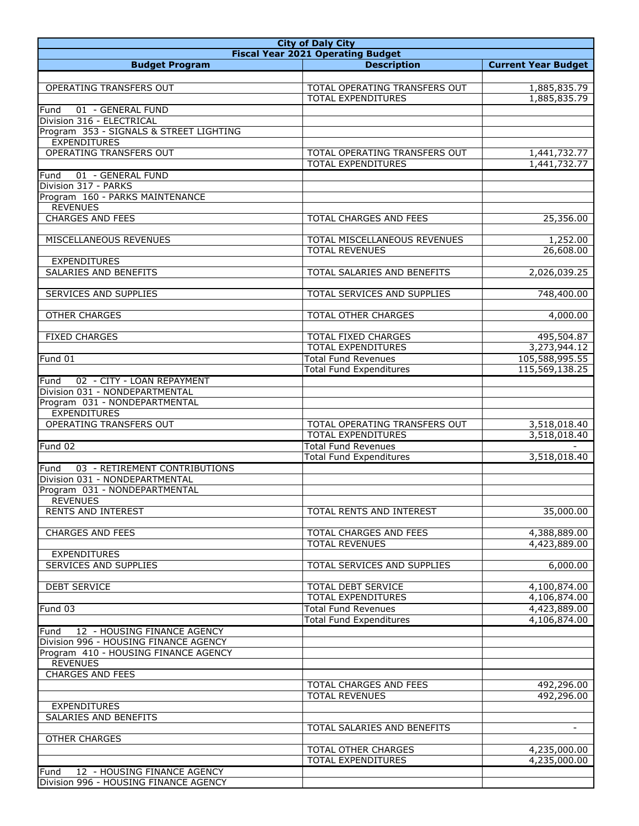| <b>City of Daly City</b>                           |                                          |                            |
|----------------------------------------------------|------------------------------------------|----------------------------|
|                                                    | <b>Fiscal Year 2021 Operating Budget</b> |                            |
| <b>Budget Program</b>                              | <b>Description</b>                       | <b>Current Year Budget</b> |
|                                                    |                                          |                            |
| OPERATING TRANSFERS OUT                            | TOTAL OPERATING TRANSFERS OUT            | 1,885,835.79               |
|                                                    | <b>TOTAL EXPENDITURES</b>                | 1,885,835.79               |
| 01 - GENERAL FUND<br>Fund                          |                                          |                            |
| Division 316 - ELECTRICAL                          |                                          |                            |
| Program 353 - SIGNALS & STREET LIGHTING            |                                          |                            |
| <b>EXPENDITURES</b>                                |                                          |                            |
| OPERATING TRANSFERS OUT                            | TOTAL OPERATING TRANSFERS OUT            | 1,441,732.77               |
|                                                    | <b>TOTAL EXPENDITURES</b>                | 1,441,732.77               |
| 01 - GENERAL FUND<br>Fund                          |                                          |                            |
| Division 317 - PARKS                               |                                          |                            |
| Program 160 - PARKS MAINTENANCE<br><b>REVENUES</b> |                                          |                            |
| <b>CHARGES AND FEES</b>                            | TOTAL CHARGES AND FEES                   | 25,356.00                  |
|                                                    |                                          |                            |
| MISCELLANEOUS REVENUES                             | TOTAL MISCELLANEOUS REVENUES             | 1,252.00                   |
|                                                    | <b>TOTAL REVENUES</b>                    | 26,608.00                  |
| <b>EXPENDITURES</b>                                |                                          |                            |
| <b>SALARIES AND BENEFITS</b>                       | TOTAL SALARIES AND BENEFITS              | 2,026,039.25               |
|                                                    |                                          |                            |
| <b>SERVICES AND SUPPLIES</b>                       | TOTAL SERVICES AND SUPPLIES              | 748,400.00                 |
|                                                    |                                          |                            |
| <b>OTHER CHARGES</b>                               | TOTAL OTHER CHARGES                      | 4,000.00                   |
|                                                    |                                          |                            |
| <b>FIXED CHARGES</b>                               | <b>TOTAL FIXED CHARGES</b>               | 495,504.87                 |
|                                                    | <b>TOTAL EXPENDITURES</b>                | 3,273,944.12               |
| Fund 01                                            | <b>Total Fund Revenues</b>               | 105,588,995.55             |
|                                                    | <b>Total Fund Expenditures</b>           | 115,569,138.25             |
| 02 - CITY - LOAN REPAYMENT<br>Fund                 |                                          |                            |
| Division 031 - NONDEPARTMENTAL                     |                                          |                            |
| Program 031 - NONDEPARTMENTAL                      |                                          |                            |
| <b>EXPENDITURES</b>                                |                                          |                            |
| OPERATING TRANSFERS OUT                            | TOTAL OPERATING TRANSFERS OUT            | 3,518,018.40               |
|                                                    | <b>TOTAL EXPENDITURES</b>                | 3,518,018.40               |
| Fund 02                                            | <b>Total Fund Revenues</b>               |                            |
|                                                    | <b>Total Fund Expenditures</b>           | 3,518,018.40               |
| 03 - RETIREMENT CONTRIBUTIONS<br>Fund              |                                          |                            |
| Division 031 - NONDEPARTMENTAL                     |                                          |                            |
| Program 031 - NONDEPARTMENTAL                      |                                          |                            |
| <b>REVENUES</b>                                    |                                          |                            |
| RENTS AND INTEREST                                 | TOTAL RENTS AND INTEREST                 | 35,000.00                  |
| <b>CHARGES AND FEES</b>                            | TOTAL CHARGES AND FEES                   | 4,388,889.00               |
|                                                    | <b>TOTAL REVENUES</b>                    | 4,423,889.00               |
| <b>EXPENDITURES</b>                                |                                          |                            |
| SERVICES AND SUPPLIES                              | TOTAL SERVICES AND SUPPLIES              | 6,000.00                   |
|                                                    |                                          |                            |
| <b>DEBT SERVICE</b>                                | <b>TOTAL DEBT SERVICE</b>                | 4,100,874.00               |
|                                                    | <b>TOTAL EXPENDITURES</b>                | 4,106,874.00               |
| Fund 03                                            | <b>Total Fund Revenues</b>               | 4,423,889.00               |
|                                                    | <b>Total Fund Expenditures</b>           | 4,106,874.00               |
| Fund<br>12 - HOUSING FINANCE AGENCY                |                                          |                            |
| Division 996 - HOUSING FINANCE AGENCY              |                                          |                            |
| Program 410 - HOUSING FINANCE AGENCY               |                                          |                            |
| <b>REVENUES</b>                                    |                                          |                            |
| <b>CHARGES AND FEES</b>                            |                                          |                            |
|                                                    | TOTAL CHARGES AND FEES                   | 492,296.00                 |
|                                                    | <b>TOTAL REVENUES</b>                    | 492,296.00                 |
| <b>EXPENDITURES</b>                                |                                          |                            |
| SALARIES AND BENEFITS                              |                                          |                            |
|                                                    | TOTAL SALARIES AND BENEFITS              | $\sim$                     |
| <b>OTHER CHARGES</b>                               |                                          |                            |
|                                                    | TOTAL OTHER CHARGES                      | 4,235,000.00               |
|                                                    | TOTAL EXPENDITURES                       | 4,235,000.00               |
| 12 - HOUSING FINANCE AGENCY<br>Fund                |                                          |                            |
| Division 996 - HOUSING FINANCE AGENCY              |                                          |                            |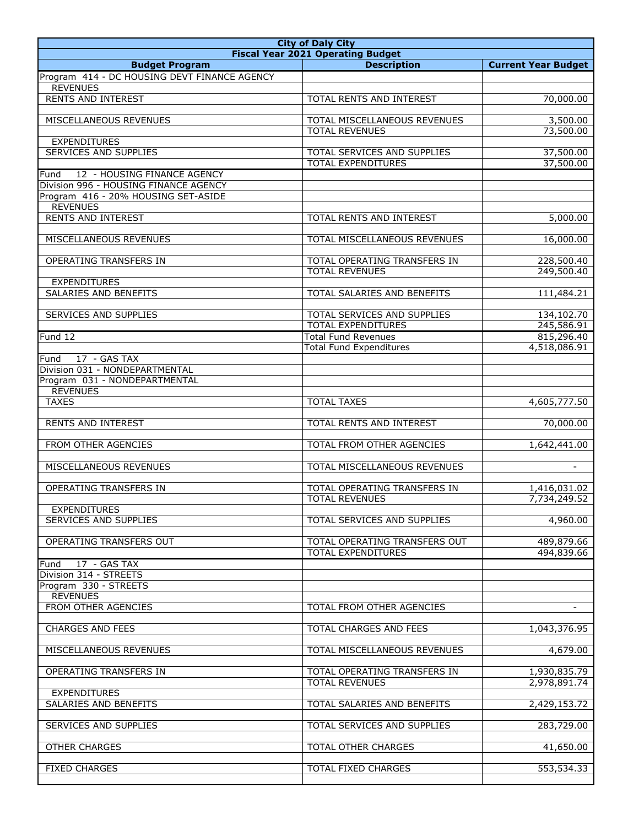| <b>City of Daly City</b>                               |                                                       |                            |
|--------------------------------------------------------|-------------------------------------------------------|----------------------------|
|                                                        | <b>Fiscal Year 2021 Operating Budget</b>              |                            |
| <b>Budget Program</b>                                  | <b>Description</b>                                    | <b>Current Year Budget</b> |
| Program 414 - DC HOUSING DEVT FINANCE AGENCY           |                                                       |                            |
| <b>REVENUES</b><br><b>RENTS AND INTEREST</b>           | TOTAL RENTS AND INTEREST                              | 70,000.00                  |
|                                                        |                                                       |                            |
| MISCELLANEOUS REVENUES                                 | TOTAL MISCELLANEOUS REVENUES<br><b>TOTAL REVENUES</b> | 3,500.00<br>73,500.00      |
| <b>EXPENDITURES</b>                                    |                                                       |                            |
| <b>SERVICES AND SUPPLIES</b>                           | <b>TOTAL SERVICES AND SUPPLIES</b>                    | 37,500.00                  |
|                                                        | <b>TOTAL EXPENDITURES</b>                             | 37,500.00                  |
| 12 - HOUSING FINANCE AGENCY<br>Fund                    |                                                       |                            |
| Division 996 - HOUSING FINANCE AGENCY                  |                                                       |                            |
| Program 416 - 20% HOUSING SET-ASIDE<br><b>REVENUES</b> |                                                       |                            |
| <b>RENTS AND INTEREST</b>                              | TOTAL RENTS AND INTEREST                              | 5,000.00                   |
|                                                        |                                                       |                            |
| MISCELLANEOUS REVENUES                                 | TOTAL MISCELLANEOUS REVENUES                          | 16,000.00                  |
|                                                        |                                                       |                            |
| OPERATING TRANSFERS IN                                 | TOTAL OPERATING TRANSFERS IN                          | 228,500.40                 |
| <b>EXPENDITURES</b>                                    | <b>TOTAL REVENUES</b>                                 | 249,500.40                 |
| SALARIES AND BENEFITS                                  | TOTAL SALARIES AND BENEFITS                           | 111,484.21                 |
|                                                        |                                                       |                            |
| SERVICES AND SUPPLIES                                  | TOTAL SERVICES AND SUPPLIES                           | 134,102.70                 |
|                                                        | <b>TOTAL EXPENDITURES</b>                             | 245,586.91                 |
| Fund 12                                                | <b>Total Fund Revenues</b>                            | 815,296.40                 |
|                                                        | <b>Total Fund Expenditures</b>                        | 4,518,086.91               |
| 17 - GAS TAX<br>Fund<br>Division 031 - NONDEPARTMENTAL |                                                       |                            |
| Program 031 - NONDEPARTMENTAL                          |                                                       |                            |
| <b>REVENUES</b>                                        |                                                       |                            |
| <b>TAXES</b>                                           | <b>TOTAL TAXES</b>                                    | 4,605,777.50               |
|                                                        |                                                       |                            |
| <b>RENTS AND INTEREST</b>                              | TOTAL RENTS AND INTEREST                              | 70,000.00                  |
|                                                        |                                                       |                            |
| FROM OTHER AGENCIES                                    | TOTAL FROM OTHER AGENCIES                             | 1,642,441.00               |
| MISCELLANEOUS REVENUES                                 | TOTAL MISCELLANEOUS REVENUES                          |                            |
|                                                        |                                                       |                            |
| OPERATING TRANSFERS IN                                 | TOTAL OPERATING TRANSFERS IN                          | 1,416,031.02               |
|                                                        | <b>TOTAL REVENUES</b>                                 | 7,734,249.52               |
| <b>EXPENDITURES</b>                                    |                                                       |                            |
| <b>SERVICES AND SUPPLIES</b>                           | TOTAL SERVICES AND SUPPLIES                           | 4,960.00                   |
|                                                        |                                                       | 489,879.66                 |
| OPERATING TRANSFERS OUT                                | TOTAL OPERATING TRANSFERS OUT<br>TOTAL EXPENDITURES   | 494,839.66                 |
| 17 - GAS TAX<br>Fund                                   |                                                       |                            |
| Division 314 - STREETS                                 |                                                       |                            |
| Program 330 - STREETS                                  |                                                       |                            |
| <b>REVENUES</b>                                        |                                                       |                            |
| FROM OTHER AGENCIES                                    | TOTAL FROM OTHER AGENCIES                             |                            |
|                                                        |                                                       |                            |
| <b>CHARGES AND FEES</b>                                | TOTAL CHARGES AND FEES                                | 1,043,376.95               |
| MISCELLANEOUS REVENUES                                 | TOTAL MISCELLANEOUS REVENUES                          | 4,679.00                   |
|                                                        |                                                       |                            |
| OPERATING TRANSFERS IN                                 | TOTAL OPERATING TRANSFERS IN                          | 1,930,835.79               |
|                                                        | <b>TOTAL REVENUES</b>                                 | 2,978,891.74               |
| <b>EXPENDITURES</b>                                    |                                                       |                            |
| SALARIES AND BENEFITS                                  | TOTAL SALARIES AND BENEFITS                           | 2,429,153.72               |
| SERVICES AND SUPPLIES                                  | TOTAL SERVICES AND SUPPLIES                           | 283,729.00                 |
|                                                        |                                                       |                            |
| <b>OTHER CHARGES</b>                                   | TOTAL OTHER CHARGES                                   | 41,650.00                  |
|                                                        |                                                       |                            |
| <b>FIXED CHARGES</b>                                   | TOTAL FIXED CHARGES                                   | 553,534.33                 |
|                                                        |                                                       |                            |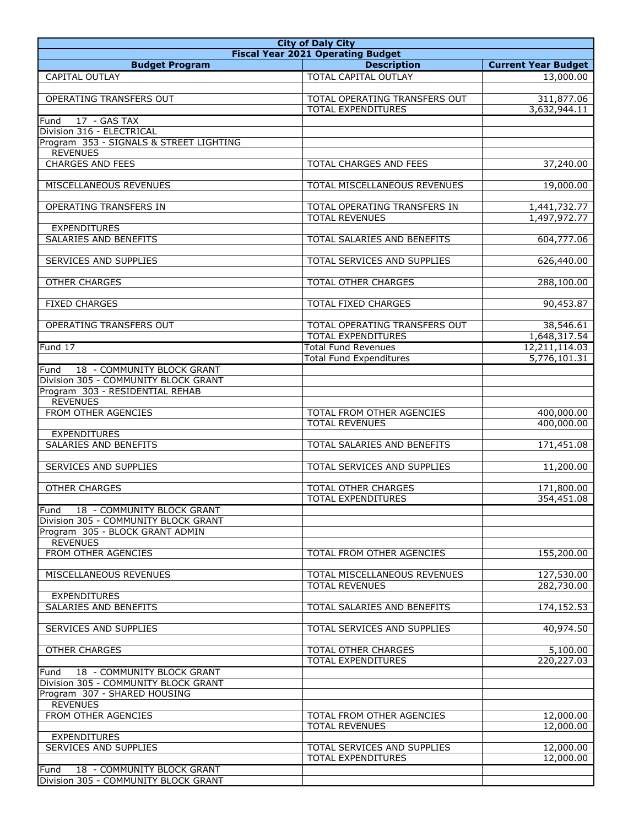| <b>City of Daly City</b>                        |                                          |                            |
|-------------------------------------------------|------------------------------------------|----------------------------|
|                                                 | <b>Fiscal Year 2021 Operating Budget</b> |                            |
| <b>Budget Program</b>                           | <b>Description</b>                       | <b>Current Year Budget</b> |
| <b>CAPITAL OUTLAY</b>                           | TOTAL CAPITAL OUTLAY                     | 13,000.00                  |
| OPERATING TRANSFERS OUT                         | TOTAL OPERATING TRANSFERS OUT            | 311,877.06                 |
|                                                 | <b>TOTAL EXPENDITURES</b>                | 3,632,944.11               |
| 17 - GAS TAX<br>Fund                            |                                          |                            |
| Division 316 - ELECTRICAL                       |                                          |                            |
| Program 353 - SIGNALS & STREET LIGHTING         |                                          |                            |
| <b>REVENUES</b>                                 |                                          |                            |
| <b>CHARGES AND FEES</b>                         | <b>TOTAL CHARGES AND FEES</b>            | 37,240.00                  |
|                                                 |                                          |                            |
| MISCELLANEOUS REVENUES                          | TOTAL MISCELLANEOUS REVENUES             | 19,000.00                  |
| OPERATING TRANSFERS IN                          | TOTAL OPERATING TRANSFERS IN             | 1,441,732.77               |
|                                                 | <b>TOTAL REVENUES</b>                    | 1,497,972.77               |
| <b>EXPENDITURES</b>                             |                                          |                            |
| SALARIES AND BENEFITS                           | TOTAL SALARIES AND BENEFITS              | 604,777.06                 |
|                                                 |                                          |                            |
| <b>SERVICES AND SUPPLIES</b>                    | TOTAL SERVICES AND SUPPLIES              | 626,440.00                 |
|                                                 |                                          |                            |
| <b>OTHER CHARGES</b>                            | <b>TOTAL OTHER CHARGES</b>               | 288,100.00                 |
|                                                 |                                          |                            |
| <b>FIXED CHARGES</b>                            | <b>TOTAL FIXED CHARGES</b>               | 90,453.87                  |
| OPERATING TRANSFERS OUT                         | TOTAL OPERATING TRANSFERS OUT            | 38,546.61                  |
|                                                 | <b>TOTAL EXPENDITURES</b>                | 1,648,317.54               |
| Fund 17                                         | <b>Total Fund Revenues</b>               | 12,211,114.03              |
|                                                 | <b>Total Fund Expenditures</b>           | 5,776,101.31               |
| 18 - COMMUNITY BLOCK GRANT<br>Fund              |                                          |                            |
| Division 305 - COMMUNITY BLOCK GRANT            |                                          |                            |
| Program 303 - RESIDENTIAL REHAB                 |                                          |                            |
| <b>REVENUES</b>                                 |                                          |                            |
| FROM OTHER AGENCIES                             | TOTAL FROM OTHER AGENCIES                | 400,000.00                 |
|                                                 | <b>TOTAL REVENUES</b>                    | 400,000.00                 |
| <b>EXPENDITURES</b>                             |                                          |                            |
| <b>SALARIES AND BENEFITS</b>                    | TOTAL SALARIES AND BENEFITS              | 171,451.08                 |
| <b>SERVICES AND SUPPLIES</b>                    | <b>TOTAL SERVICES AND SUPPLIES</b>       | 11,200.00                  |
|                                                 |                                          |                            |
| <b>OTHER CHARGES</b>                            | TOTAL OTHER CHARGES                      | 171,800.00                 |
|                                                 | <b>TOTAL EXPENDITURES</b>                | 354,451.08                 |
| Fund 18 - COMMUNITY BLOCK GRANT                 |                                          |                            |
| Division 305 - COMMUNITY BLOCK GRANT            |                                          |                            |
| Program 305 - BLOCK GRANT ADMIN                 |                                          |                            |
| <b>REVENUES</b>                                 |                                          |                            |
| FROM OTHER AGENCIES                             | TOTAL FROM OTHER AGENCIES                | 155,200.00                 |
| MISCELLANEOUS REVENUES                          | TOTAL MISCELLANEOUS REVENUES             | 127,530.00                 |
|                                                 | <b>TOTAL REVENUES</b>                    | 282,730.00                 |
| <b>EXPENDITURES</b>                             |                                          |                            |
| SALARIES AND BENEFITS                           | TOTAL SALARIES AND BENEFITS              | 174,152.53                 |
|                                                 |                                          |                            |
| SERVICES AND SUPPLIES                           | TOTAL SERVICES AND SUPPLIES              | 40,974.50                  |
|                                                 |                                          |                            |
| OTHER CHARGES                                   | TOTAL OTHER CHARGES                      | 5,100.00                   |
|                                                 | TOTAL EXPENDITURES                       | 220,227.03                 |
| Fund 18 - COMMUNITY BLOCK GRANT                 |                                          |                            |
| Division 305 - COMMUNITY BLOCK GRANT            |                                          |                            |
| Program 307 - SHARED HOUSING<br><b>REVENUES</b> |                                          |                            |
| FROM OTHER AGENCIES                             | TOTAL FROM OTHER AGENCIES                | 12,000.00                  |
|                                                 | <b>TOTAL REVENUES</b>                    | 12,000.00                  |
| <b>EXPENDITURES</b>                             |                                          |                            |
| <b>SERVICES AND SUPPLIES</b>                    | TOTAL SERVICES AND SUPPLIES              | 12,000.00                  |
|                                                 | TOTAL EXPENDITURES                       | 12,000.00                  |
| Fund<br>18 - COMMUNITY BLOCK GRANT              |                                          |                            |
| Division 305 - COMMUNITY BLOCK GRANT            |                                          |                            |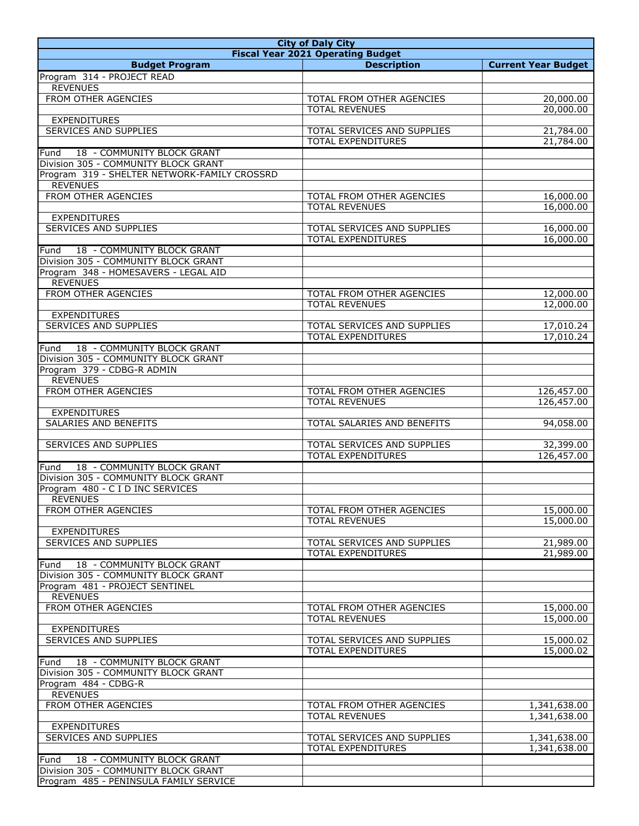| <b>City of Daly City</b>                                                   |                                                    |                              |
|----------------------------------------------------------------------------|----------------------------------------------------|------------------------------|
|                                                                            | <b>Fiscal Year 2021 Operating Budget</b>           |                              |
| <b>Budget Program</b>                                                      | <b>Description</b>                                 | <b>Current Year Budget</b>   |
| Program 314 - PROJECT READ                                                 |                                                    |                              |
| <b>REVENUES</b>                                                            |                                                    |                              |
| FROM OTHER AGENCIES                                                        | TOTAL FROM OTHER AGENCIES                          | 20,000.00                    |
|                                                                            | <b>TOTAL REVENUES</b>                              | 20,000.00                    |
| <b>EXPENDITURES</b>                                                        |                                                    |                              |
| <b>SERVICES AND SUPPLIES</b>                                               | TOTAL SERVICES AND SUPPLIES                        | 21,784.00                    |
|                                                                            | <b>TOTAL EXPENDITURES</b>                          | 21,784.00                    |
| 18 - COMMUNITY BLOCK GRANT<br>Fund<br>Division 305 - COMMUNITY BLOCK GRANT |                                                    |                              |
| Program 319 - SHELTER NETWORK-FAMILY CROSSRD                               |                                                    |                              |
| <b>REVENUES</b>                                                            |                                                    |                              |
| FROM OTHER AGENCIES                                                        | TOTAL FROM OTHER AGENCIES                          | 16,000.00                    |
|                                                                            | <b>TOTAL REVENUES</b>                              | 16,000.00                    |
| <b>EXPENDITURES</b>                                                        |                                                    |                              |
| <b>SERVICES AND SUPPLIES</b>                                               | TOTAL SERVICES AND SUPPLIES                        | 16,000.00                    |
|                                                                            | <b>TOTAL EXPENDITURES</b>                          | 16,000.00                    |
| 18 - COMMUNITY BLOCK GRANT<br>Fund                                         |                                                    |                              |
| Division 305 - COMMUNITY BLOCK GRANT                                       |                                                    |                              |
| Program 348 - HOMESAVERS - LEGAL AID                                       |                                                    |                              |
| <b>REVENUES</b>                                                            |                                                    |                              |
| FROM OTHER AGENCIES                                                        | TOTAL FROM OTHER AGENCIES                          | 12,000.00                    |
|                                                                            | <b>TOTAL REVENUES</b>                              | 12,000.00                    |
| <b>EXPENDITURES</b>                                                        |                                                    |                              |
| SERVICES AND SUPPLIES                                                      | TOTAL SERVICES AND SUPPLIES                        | 17,010.24                    |
|                                                                            | <b>TOTAL EXPENDITURES</b>                          | 17,010.24                    |
| 18 - COMMUNITY BLOCK GRANT<br>Fund                                         |                                                    |                              |
| Division 305 - COMMUNITY BLOCK GRANT                                       |                                                    |                              |
| Program 379 - CDBG-R ADMIN                                                 |                                                    |                              |
| <b>REVENUES</b>                                                            |                                                    |                              |
| FROM OTHER AGENCIES                                                        | TOTAL FROM OTHER AGENCIES                          | 126,457.00                   |
|                                                                            | <b>TOTAL REVENUES</b>                              | 126,457.00                   |
| <b>EXPENDITURES</b>                                                        |                                                    |                              |
| <b>SALARIES AND BENEFITS</b>                                               | TOTAL SALARIES AND BENEFITS                        | 94,058.00                    |
|                                                                            |                                                    |                              |
| <b>SERVICES AND SUPPLIES</b>                                               | TOTAL SERVICES AND SUPPLIES                        | 32,399.00                    |
|                                                                            | <b>TOTAL EXPENDITURES</b>                          | 126,457.00                   |
| 18 - COMMUNITY BLOCK GRANT<br>Fund                                         |                                                    |                              |
| Division 305 - COMMUNITY BLOCK GRANT                                       |                                                    |                              |
| Program 480 - C I D INC SERVICES                                           |                                                    |                              |
| <b>REVENUES</b>                                                            |                                                    |                              |
| FROM OTHER AGENCIES                                                        | TOTAL FROM OTHER AGENCIES                          | 15,000.00                    |
|                                                                            | <b>TOTAL REVENUES</b>                              | 15,000.00                    |
| <b>EXPENDITURES</b>                                                        |                                                    |                              |
| <b>SERVICES AND SUPPLIES</b>                                               | TOTAL SERVICES AND SUPPLIES                        | 21,989.00                    |
|                                                                            | <b>TOTAL EXPENDITURES</b>                          | 21,989.00                    |
| 18 - COMMUNITY BLOCK GRANT<br>Fund                                         |                                                    |                              |
| Division 305 - COMMUNITY BLOCK GRANT                                       |                                                    |                              |
| Program 481 - PROJECT SENTINEL                                             |                                                    |                              |
| <b>REVENUES</b>                                                            |                                                    |                              |
| FROM OTHER AGENCIES                                                        | TOTAL FROM OTHER AGENCIES                          | 15,000.00                    |
|                                                                            | <b>TOTAL REVENUES</b>                              | 15,000.00                    |
| <b>EXPENDITURES</b>                                                        |                                                    |                              |
| SERVICES AND SUPPLIES                                                      | TOTAL SERVICES AND SUPPLIES                        | 15,000.02                    |
|                                                                            | TOTAL EXPENDITURES                                 | 15,000.02                    |
| 18 - COMMUNITY BLOCK GRANT<br>Fund                                         |                                                    |                              |
| Division 305 - COMMUNITY BLOCK GRANT                                       |                                                    |                              |
| Program 484 - CDBG-R                                                       |                                                    |                              |
| <b>REVENUES</b>                                                            |                                                    |                              |
| FROM OTHER AGENCIES                                                        | TOTAL FROM OTHER AGENCIES<br><b>TOTAL REVENUES</b> | 1,341,638.00<br>1,341,638.00 |
|                                                                            |                                                    |                              |
| <b>EXPENDITURES</b><br>SERVICES AND SUPPLIES                               | TOTAL SERVICES AND SUPPLIES                        | 1,341,638.00                 |
|                                                                            | <b>TOTAL EXPENDITURES</b>                          | 1,341,638.00                 |
|                                                                            |                                                    |                              |
| 18 - COMMUNITY BLOCK GRANT<br>Fund<br>Division 305 - COMMUNITY BLOCK GRANT |                                                    |                              |
| Program 485 - PENINSULA FAMILY SERVICE                                     |                                                    |                              |
|                                                                            |                                                    |                              |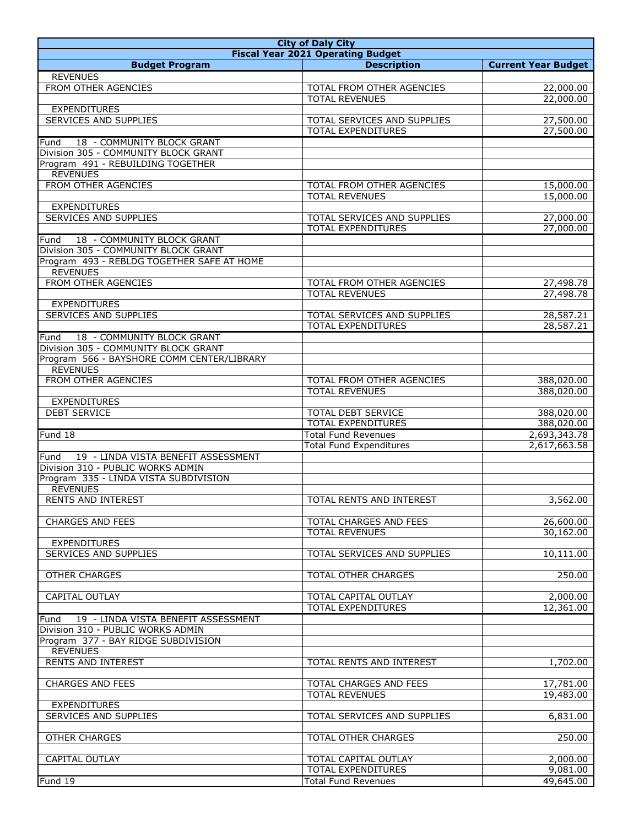| <b>City of Daly City</b>                     |                                                              |                              |
|----------------------------------------------|--------------------------------------------------------------|------------------------------|
|                                              | <b>Fiscal Year 2021 Operating Budget</b>                     |                              |
| <b>Budget Program</b>                        | <b>Description</b>                                           | <b>Current Year Budget</b>   |
| <b>REVENUES</b>                              |                                                              |                              |
| FROM OTHER AGENCIES                          | TOTAL FROM OTHER AGENCIES                                    | 22,000.00                    |
|                                              | <b>TOTAL REVENUES</b>                                        | 22,000.00                    |
| <b>EXPENDITURES</b><br>SERVICES AND SUPPLIES | TOTAL SERVICES AND SUPPLIES                                  | 27,500.00                    |
|                                              | <b>TOTAL EXPENDITURES</b>                                    | 27,500.00                    |
| 18 - COMMUNITY BLOCK GRANT<br>Fund           |                                                              |                              |
| Division 305 - COMMUNITY BLOCK GRANT         |                                                              |                              |
| Program 491 - REBUILDING TOGETHER            |                                                              |                              |
| <b>REVENUES</b>                              |                                                              |                              |
| FROM OTHER AGENCIES                          | TOTAL FROM OTHER AGENCIES                                    | 15,000.00                    |
|                                              | <b>TOTAL REVENUES</b>                                        | 15,000.00                    |
| <b>EXPENDITURES</b><br>SERVICES AND SUPPLIES |                                                              |                              |
|                                              | TOTAL SERVICES AND SUPPLIES<br><b>TOTAL EXPENDITURES</b>     | 27,000.00<br>27,000.00       |
| 18 - COMMUNITY BLOCK GRANT<br>Fund           |                                                              |                              |
| Division 305 - COMMUNITY BLOCK GRANT         |                                                              |                              |
| Program 493 - REBLDG TOGETHER SAFE AT HOME   |                                                              |                              |
| <b>REVENUES</b>                              |                                                              |                              |
| FROM OTHER AGENCIES                          | TOTAL FROM OTHER AGENCIES                                    | 27,498.78                    |
|                                              | <b>TOTAL REVENUES</b>                                        | 27,498.78                    |
| <b>EXPENDITURES</b>                          |                                                              |                              |
| <b>SERVICES AND SUPPLIES</b>                 | TOTAL SERVICES AND SUPPLIES<br><b>TOTAL EXPENDITURES</b>     | 28,587.21<br>28,587.21       |
| 18 - COMMUNITY BLOCK GRANT<br>Fund           |                                                              |                              |
| Division 305 - COMMUNITY BLOCK GRANT         |                                                              |                              |
| Program 566 - BAYSHORE COMM CENTER/LIBRARY   |                                                              |                              |
| <b>REVENUES</b>                              |                                                              |                              |
| FROM OTHER AGENCIES                          | TOTAL FROM OTHER AGENCIES                                    | 388,020.00                   |
|                                              | <b>TOTAL REVENUES</b>                                        | 388,020.00                   |
| <b>EXPENDITURES</b>                          |                                                              |                              |
| <b>DEBT SERVICE</b>                          | TOTAL DEBT SERVICE                                           | 388,020.00                   |
|                                              | <b>TOTAL EXPENDITURES</b>                                    | 388,020.00                   |
| Fund 18                                      | <b>Total Fund Revenues</b><br><b>Total Fund Expenditures</b> | 2,693,343.78<br>2,617,663.58 |
| 19 - LINDA VISTA BENEFIT ASSESSMENT<br>Fund  |                                                              |                              |
| Division 310 - PUBLIC WORKS ADMIN            |                                                              |                              |
| Program 335 - LINDA VISTA SUBDIVISION        |                                                              |                              |
| <b>REVENUES</b>                              |                                                              |                              |
| <b>RENTS AND INTEREST</b>                    | TOTAL RENTS AND INTEREST                                     | 3,562.00                     |
|                                              |                                                              |                              |
| <b>CHARGES AND FEES</b>                      | TOTAL CHARGES AND FEES                                       | 26,600.00                    |
|                                              | <b>TOTAL REVENUES</b>                                        | 30,162.00                    |
| <b>EXPENDITURES</b>                          | TOTAL SERVICES AND SUPPLIES                                  | 10,111.00                    |
| SERVICES AND SUPPLIES                        |                                                              |                              |
| OTHER CHARGES                                | TOTAL OTHER CHARGES                                          | 250.00                       |
|                                              |                                                              |                              |
| <b>CAPITAL OUTLAY</b>                        | TOTAL CAPITAL OUTLAY                                         | 2,000.00                     |
|                                              | <b>TOTAL EXPENDITURES</b>                                    | 12,361.00                    |
| 19 - LINDA VISTA BENEFIT ASSESSMENT<br>Fund  |                                                              |                              |
| Division 310 - PUBLIC WORKS ADMIN            |                                                              |                              |
| Program 377 - BAY RIDGE SUBDIVISION          |                                                              |                              |
| <b>REVENUES</b><br><b>RENTS AND INTEREST</b> | TOTAL RENTS AND INTEREST                                     | 1,702.00                     |
|                                              |                                                              |                              |
| <b>CHARGES AND FEES</b>                      | TOTAL CHARGES AND FEES                                       | 17,781.00                    |
|                                              | <b>TOTAL REVENUES</b>                                        | 19,483.00                    |
| <b>EXPENDITURES</b>                          |                                                              |                              |
| <b>SERVICES AND SUPPLIES</b>                 | TOTAL SERVICES AND SUPPLIES                                  | 6,831.00                     |
|                                              |                                                              |                              |
| <b>OTHER CHARGES</b>                         | <b>TOTAL OTHER CHARGES</b>                                   | 250.00                       |
|                                              |                                                              |                              |
| CAPITAL OUTLAY                               | TOTAL CAPITAL OUTLAY<br><b>TOTAL EXPENDITURES</b>            | 2,000.00<br>9,081.00         |
| Fund 19                                      | <b>Total Fund Revenues</b>                                   | 49,645.00                    |
|                                              |                                                              |                              |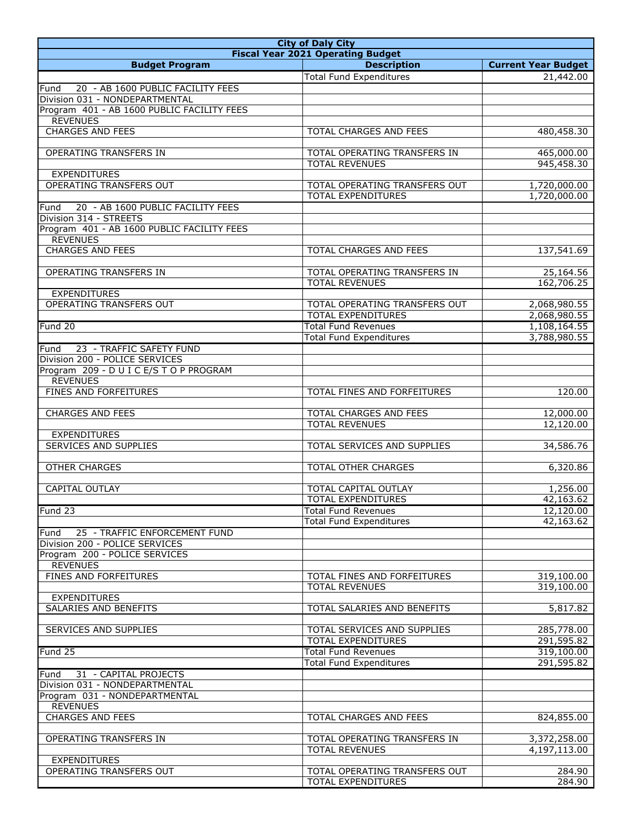| <b>City of Daly City</b>                                           |                                                     |                            |  |
|--------------------------------------------------------------------|-----------------------------------------------------|----------------------------|--|
| <b>Fiscal Year 2021 Operating Budget</b>                           |                                                     |                            |  |
| <b>Budget Program</b>                                              | <b>Description</b>                                  | <b>Current Year Budget</b> |  |
|                                                                    | <b>Total Fund Expenditures</b>                      | 21,442.00                  |  |
| 20 - AB 1600 PUBLIC FACILITY FEES<br>Fund                          |                                                     |                            |  |
| Division 031 - NONDEPARTMENTAL                                     |                                                     |                            |  |
| Program 401 - AB 1600 PUBLIC FACILITY FEES                         |                                                     |                            |  |
| <b>REVENUES</b>                                                    |                                                     |                            |  |
| <b>CHARGES AND FEES</b>                                            | TOTAL CHARGES AND FEES                              | 480,458.30                 |  |
| OPERATING TRANSFERS IN                                             | TOTAL OPERATING TRANSFERS IN                        | 465,000.00                 |  |
|                                                                    | <b>TOTAL REVENUES</b>                               | 945,458.30                 |  |
| <b>EXPENDITURES</b>                                                |                                                     |                            |  |
| <b>OPERATING TRANSFERS OUT</b>                                     | TOTAL OPERATING TRANSFERS OUT                       | 1,720,000.00               |  |
|                                                                    | <b>TOTAL EXPENDITURES</b>                           | 1,720,000.00               |  |
| 20 - AB 1600 PUBLIC FACILITY FEES<br>Fund                          |                                                     |                            |  |
| Division 314 - STREETS                                             |                                                     |                            |  |
| Program 401 - AB 1600 PUBLIC FACILITY FEES                         |                                                     |                            |  |
| <b>REVENUES</b>                                                    |                                                     |                            |  |
| <b>CHARGES AND FEES</b>                                            | <b>TOTAL CHARGES AND FEES</b>                       | 137,541.69                 |  |
|                                                                    |                                                     |                            |  |
| OPERATING TRANSFERS IN                                             | TOTAL OPERATING TRANSFERS IN                        | 25,164.56                  |  |
|                                                                    | <b>TOTAL REVENUES</b>                               | 162,706.25                 |  |
| <b>EXPENDITURES</b>                                                |                                                     |                            |  |
| OPERATING TRANSFERS OUT                                            | TOTAL OPERATING TRANSFERS OUT                       | 2,068,980.55               |  |
|                                                                    | <b>TOTAL EXPENDITURES</b>                           | 2,068,980.55               |  |
| Fund 20                                                            | <b>Total Fund Revenues</b>                          | 1,108,164.55               |  |
|                                                                    | <b>Total Fund Expenditures</b>                      | 3,788,980.55               |  |
| 23 - TRAFFIC SAFETY FUND<br>Fund<br>Division 200 - POLICE SERVICES |                                                     |                            |  |
| Program 209 - DUICE/STOP PROGRAM                                   |                                                     |                            |  |
| <b>REVENUES</b>                                                    |                                                     |                            |  |
| <b>FINES AND FORFEITURES</b>                                       | TOTAL FINES AND FORFEITURES                         | 120.00                     |  |
|                                                                    |                                                     |                            |  |
| <b>CHARGES AND FEES</b>                                            | TOTAL CHARGES AND FEES                              | 12,000.00                  |  |
|                                                                    | <b>TOTAL REVENUES</b>                               | 12,120.00                  |  |
| <b>EXPENDITURES</b>                                                |                                                     |                            |  |
| <b>SERVICES AND SUPPLIES</b>                                       | TOTAL SERVICES AND SUPPLIES                         | 34,586.76                  |  |
|                                                                    |                                                     |                            |  |
| <b>OTHER CHARGES</b>                                               | TOTAL OTHER CHARGES                                 | 6,320.86                   |  |
|                                                                    |                                                     |                            |  |
| CAPITAL OUTLAY                                                     | TOTAL CAPITAL OUTLAY                                | 1,256.00                   |  |
|                                                                    | <b>TOTAL EXPENDITURES</b>                           | 42,163.62                  |  |
| Fund 23                                                            | <b>Total Fund Revenues</b>                          | 12,120.00                  |  |
|                                                                    | <b>Total Fund Expenditures</b>                      | 42,163.62                  |  |
| 25 - TRAFFIC ENFORCEMENT FUND<br>Fund                              |                                                     |                            |  |
| Division 200 - POLICE SERVICES                                     |                                                     |                            |  |
| Program 200 - POLICE SERVICES<br><b>REVENUES</b>                   |                                                     |                            |  |
| FINES AND FORFEITURES                                              | TOTAL FINES AND FORFEITURES                         | 319,100.00                 |  |
|                                                                    | <b>TOTAL REVENUES</b>                               | 319,100.00                 |  |
| <b>EXPENDITURES</b>                                                |                                                     |                            |  |
| SALARIES AND BENEFITS                                              | TOTAL SALARIES AND BENEFITS                         | 5,817.82                   |  |
|                                                                    |                                                     |                            |  |
| SERVICES AND SUPPLIES                                              | TOTAL SERVICES AND SUPPLIES                         | 285,778.00                 |  |
|                                                                    | <b>TOTAL EXPENDITURES</b>                           | 291,595.82                 |  |
| Fund 25                                                            | <b>Total Fund Revenues</b>                          | 319,100.00                 |  |
|                                                                    | <b>Total Fund Expenditures</b>                      | 291,595.82                 |  |
| 31 - CAPITAL PROJECTS<br>Fund                                      |                                                     |                            |  |
| Division 031 - NONDEPARTMENTAL                                     |                                                     |                            |  |
| Program 031 - NONDEPARTMENTAL                                      |                                                     |                            |  |
| <b>REVENUES</b>                                                    |                                                     |                            |  |
| <b>CHARGES AND FEES</b>                                            | TOTAL CHARGES AND FEES                              | 824,855.00                 |  |
|                                                                    |                                                     |                            |  |
| OPERATING TRANSFERS IN                                             | TOTAL OPERATING TRANSFERS IN                        | 3,372,258.00               |  |
|                                                                    | <b>TOTAL REVENUES</b>                               | 4,197,113.00               |  |
| <b>EXPENDITURES</b><br>OPERATING TRANSFERS OUT                     |                                                     |                            |  |
|                                                                    | TOTAL OPERATING TRANSFERS OUT<br>TOTAL EXPENDITURES | 284.90<br>284.90           |  |
|                                                                    |                                                     |                            |  |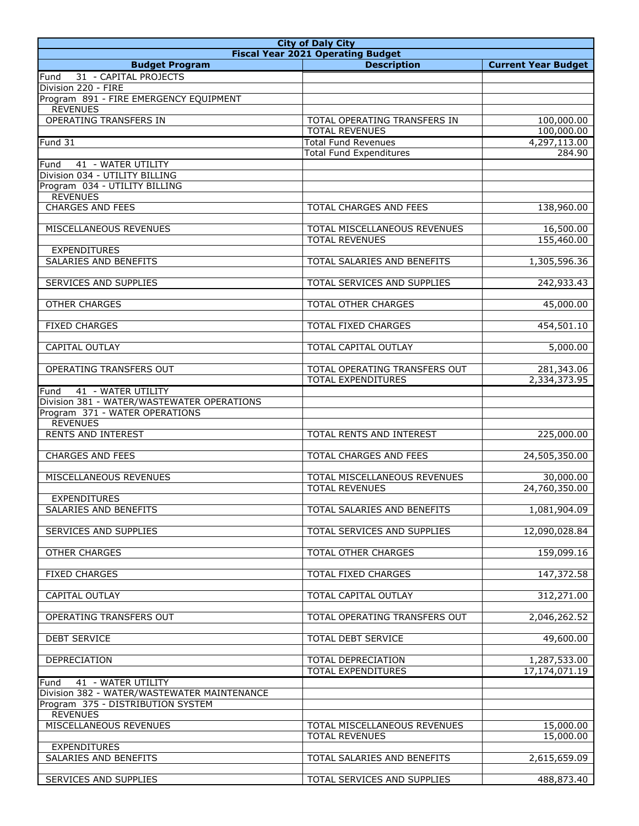| <b>City of Daly City</b>                                                     |                                                     |                            |
|------------------------------------------------------------------------------|-----------------------------------------------------|----------------------------|
|                                                                              | <b>Fiscal Year 2021 Operating Budget</b>            |                            |
| <b>Budget Program</b>                                                        | <b>Description</b>                                  | <b>Current Year Budget</b> |
| 31 - CAPITAL PROJECTS<br>Fund<br>Division 220 - FIRE                         |                                                     |                            |
| Program 891 - FIRE EMERGENCY EQUIPMENT                                       |                                                     |                            |
| <b>REVENUES</b>                                                              |                                                     |                            |
| OPERATING TRANSFERS IN                                                       | TOTAL OPERATING TRANSFERS IN                        | 100,000.00                 |
| Fund 31                                                                      | <b>TOTAL REVENUES</b><br><b>Total Fund Revenues</b> | 100,000.00<br>4,297,113.00 |
|                                                                              | <b>Total Fund Expenditures</b>                      | 284.90                     |
| 41 - WATER UTILITY<br>Fund                                                   |                                                     |                            |
| Division 034 - UTILITY BILLING                                               |                                                     |                            |
| Program 034 - UTILITY BILLING                                                |                                                     |                            |
| <b>REVENUES</b>                                                              |                                                     |                            |
| <b>CHARGES AND FEES</b>                                                      | TOTAL CHARGES AND FEES                              | 138,960.00                 |
| MISCELLANEOUS REVENUES                                                       | TOTAL MISCELLANEOUS REVENUES                        | 16,500.00                  |
|                                                                              | <b>TOTAL REVENUES</b>                               | 155,460.00                 |
| <b>EXPENDITURES</b>                                                          |                                                     |                            |
| <b>SALARIES AND BENEFITS</b>                                                 | TOTAL SALARIES AND BENEFITS                         | 1,305,596.36               |
|                                                                              | TOTAL SERVICES AND SUPPLIES                         |                            |
| SERVICES AND SUPPLIES                                                        |                                                     | 242,933.43                 |
| <b>OTHER CHARGES</b>                                                         | TOTAL OTHER CHARGES                                 | 45,000.00                  |
|                                                                              |                                                     |                            |
| <b>FIXED CHARGES</b>                                                         | TOTAL FIXED CHARGES                                 | 454,501.10                 |
| <b>CAPITAL OUTLAY</b>                                                        | TOTAL CAPITAL OUTLAY                                | 5,000.00                   |
| OPERATING TRANSFERS OUT                                                      | TOTAL OPERATING TRANSFERS OUT                       | 281,343.06                 |
|                                                                              | <b>TOTAL EXPENDITURES</b>                           | 2,334,373.95               |
| 41 - WATER UTILITY<br>Fund                                                   |                                                     |                            |
| Division 381 - WATER/WASTEWATER OPERATIONS<br>Program 371 - WATER OPERATIONS |                                                     |                            |
| <b>REVENUES</b>                                                              |                                                     |                            |
| <b>RENTS AND INTEREST</b>                                                    | TOTAL RENTS AND INTEREST                            | 225,000.00                 |
|                                                                              |                                                     |                            |
| <b>CHARGES AND FEES</b>                                                      | TOTAL CHARGES AND FEES                              | 24,505,350.00              |
| MISCELLANEOUS REVENUES                                                       | TOTAL MISCELLANEOUS REVENUES                        | 30,000.00                  |
|                                                                              | <b>TOTAL REVENUES</b>                               | 24,760,350.00              |
| <b>EXPENDITURES</b>                                                          |                                                     |                            |
| SALARIES AND BENEFITS                                                        | TOTAL SALARIES AND BENEFITS                         | 1,081,904.09               |
| SERVICES AND SUPPLIES                                                        | TOTAL SERVICES AND SUPPLIES                         | 12,090,028.84              |
|                                                                              |                                                     |                            |
| <b>OTHER CHARGES</b>                                                         | <b>TOTAL OTHER CHARGES</b>                          | 159,099.16                 |
|                                                                              |                                                     |                            |
| <b>FIXED CHARGES</b>                                                         | <b>TOTAL FIXED CHARGES</b>                          | 147,372.58                 |
| CAPITAL OUTLAY                                                               | TOTAL CAPITAL OUTLAY                                | 312,271.00                 |
|                                                                              |                                                     |                            |
| OPERATING TRANSFERS OUT                                                      | TOTAL OPERATING TRANSFERS OUT                       | 2,046,262.52               |
| DEBT SERVICE                                                                 | TOTAL DEBT SERVICE                                  | 49,600.00                  |
|                                                                              |                                                     |                            |
| DEPRECIATION                                                                 | TOTAL DEPRECIATION                                  | 1,287,533.00               |
|                                                                              | <b>TOTAL EXPENDITURES</b>                           | 17,174,071.19              |
| 41 - WATER UTILITY<br>Fund<br>Division 382 - WATER/WASTEWATER MAINTENANCE    |                                                     |                            |
| Program 375 - DISTRIBUTION SYSTEM                                            |                                                     |                            |
| <b>REVENUES</b>                                                              |                                                     |                            |
| MISCELLANEOUS REVENUES                                                       | TOTAL MISCELLANEOUS REVENUES                        | 15,000.00                  |
|                                                                              | <b>TOTAL REVENUES</b>                               | 15,000.00                  |
| <b>EXPENDITURES</b><br>SALARIES AND BENEFITS                                 | TOTAL SALARIES AND BENEFITS                         | 2,615,659.09               |
|                                                                              |                                                     |                            |
| SERVICES AND SUPPLIES                                                        | TOTAL SERVICES AND SUPPLIES                         | 488,873.40                 |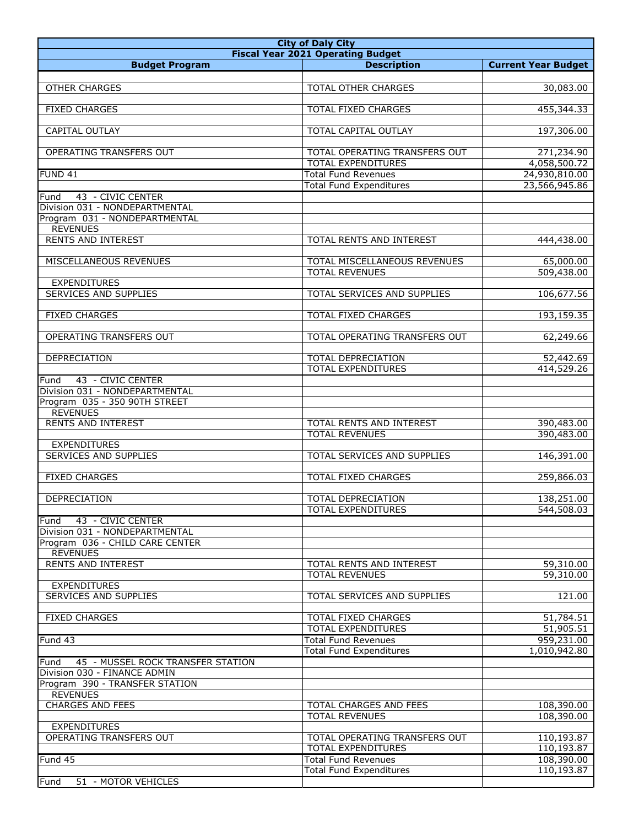| <b>City of Daly City</b>                                                  |                                          |                            |
|---------------------------------------------------------------------------|------------------------------------------|----------------------------|
|                                                                           | <b>Fiscal Year 2021 Operating Budget</b> |                            |
| <b>Budget Program</b>                                                     | <b>Description</b>                       | <b>Current Year Budget</b> |
|                                                                           |                                          |                            |
| <b>OTHER CHARGES</b>                                                      | <b>TOTAL OTHER CHARGES</b>               | 30,083.00                  |
|                                                                           |                                          |                            |
| <b>FIXED CHARGES</b>                                                      | TOTAL FIXED CHARGES                      | 455,344.33                 |
| CAPITAL OUTLAY                                                            | TOTAL CAPITAL OUTLAY                     | 197,306.00                 |
|                                                                           |                                          |                            |
| OPERATING TRANSFERS OUT                                                   | TOTAL OPERATING TRANSFERS OUT            | 271,234.90                 |
|                                                                           | <b>TOTAL EXPENDITURES</b>                | 4,058,500.72               |
| <b>FUND 41</b>                                                            | <b>Total Fund Revenues</b>               | 24,930,810.00              |
|                                                                           | <b>Total Fund Expenditures</b>           | 23,566,945.86              |
| Fund<br>43 - CIVIC CENTER                                                 |                                          |                            |
| Division 031 - NONDEPARTMENTAL                                            |                                          |                            |
| Program 031 - NONDEPARTMENTAL                                             |                                          |                            |
| <b>REVENUES</b>                                                           |                                          |                            |
| <b>RENTS AND INTEREST</b>                                                 | TOTAL RENTS AND INTEREST                 | 444,438.00                 |
|                                                                           |                                          |                            |
| MISCELLANEOUS REVENUES                                                    | TOTAL MISCELLANEOUS REVENUES             | 65,000.00                  |
|                                                                           | <b>TOTAL REVENUES</b>                    | 509,438.00                 |
| <b>EXPENDITURES</b><br><b>SERVICES AND SUPPLIES</b>                       | TOTAL SERVICES AND SUPPLIES              | 106,677.56                 |
|                                                                           |                                          |                            |
| <b>FIXED CHARGES</b>                                                      | TOTAL FIXED CHARGES                      | 193,159.35                 |
|                                                                           |                                          |                            |
| OPERATING TRANSFERS OUT                                                   | TOTAL OPERATING TRANSFERS OUT            | 62,249.66                  |
|                                                                           |                                          |                            |
| DEPRECIATION                                                              | TOTAL DEPRECIATION                       | $\overline{52,442.69}$     |
|                                                                           | <b>TOTAL EXPENDITURES</b>                | 414,529.26                 |
| 43 - CIVIC CENTER<br>Fund                                                 |                                          |                            |
| Division 031 - NONDEPARTMENTAL                                            |                                          |                            |
| Program 035 - 350 90TH STREET                                             |                                          |                            |
| <b>REVENUES</b>                                                           |                                          |                            |
| <b>RENTS AND INTEREST</b>                                                 | TOTAL RENTS AND INTEREST                 | 390,483.00                 |
|                                                                           | <b>TOTAL REVENUES</b>                    | 390,483.00                 |
| <b>EXPENDITURES</b>                                                       |                                          |                            |
| SERVICES AND SUPPLIES                                                     | TOTAL SERVICES AND SUPPLIES              | 146,391.00                 |
|                                                                           |                                          |                            |
| <b>FIXED CHARGES</b>                                                      | TOTAL FIXED CHARGES                      | 259,866.03                 |
| DEPRECIATION                                                              | TOTAL DEPRECIATION                       | 138,251.00                 |
|                                                                           | TOTAL EXPENDITURES                       | 544,508.03                 |
| 43 - CIVIC CENTER<br>Fund                                                 |                                          |                            |
| Division 031 - NONDEPARTMENTAL                                            |                                          |                            |
| Program 036 - CHILD CARE CENTER                                           |                                          |                            |
| <b>REVENUES</b>                                                           |                                          |                            |
| <b>RENTS AND INTEREST</b>                                                 | TOTAL RENTS AND INTEREST                 | 59,310.00                  |
|                                                                           | <b>TOTAL REVENUES</b>                    | 59,310.00                  |
| <b>EXPENDITURES</b>                                                       |                                          |                            |
| SERVICES AND SUPPLIES                                                     | TOTAL SERVICES AND SUPPLIES              | 121.00                     |
|                                                                           |                                          |                            |
| <b>FIXED CHARGES</b>                                                      | TOTAL FIXED CHARGES                      | 51,784.51                  |
|                                                                           | <b>TOTAL EXPENDITURES</b>                | 51,905.51                  |
| Fund 43                                                                   | <b>Total Fund Revenues</b>               | 959,231.00                 |
|                                                                           | <b>Total Fund Expenditures</b>           | 1,010,942.80               |
| 45 - MUSSEL ROCK TRANSFER STATION<br>Fund<br>Division 030 - FINANCE ADMIN |                                          |                            |
| Program 390 - TRANSFER STATION                                            |                                          |                            |
| <b>REVENUES</b>                                                           |                                          |                            |
| <b>CHARGES AND FEES</b>                                                   | TOTAL CHARGES AND FEES                   | 108,390.00                 |
|                                                                           | <b>TOTAL REVENUES</b>                    | 108,390.00                 |
| <b>EXPENDITURES</b>                                                       |                                          |                            |
| OPERATING TRANSFERS OUT                                                   | TOTAL OPERATING TRANSFERS OUT            | 110,193.87                 |
|                                                                           | <b>TOTAL EXPENDITURES</b>                | 110,193.87                 |
| Fund 45                                                                   | <b>Total Fund Revenues</b>               | 108,390.00                 |
|                                                                           | <b>Total Fund Expenditures</b>           | 110,193.87                 |
| Fund<br>51 - MOTOR VEHICLES                                               |                                          |                            |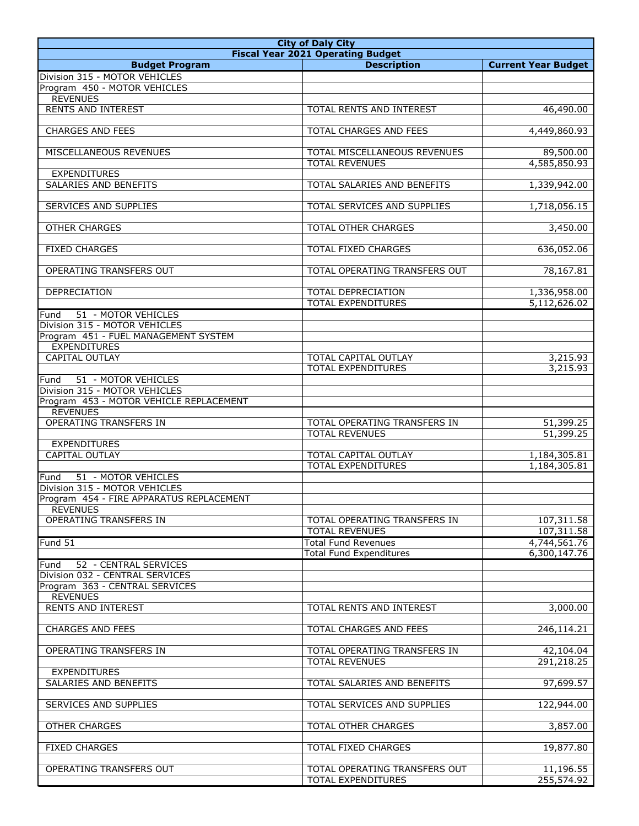| <b>City of Daly City</b>                                     |                                                              |                              |
|--------------------------------------------------------------|--------------------------------------------------------------|------------------------------|
|                                                              | <b>Fiscal Year 2021 Operating Budget</b>                     |                              |
| <b>Budget Program</b>                                        | <b>Description</b>                                           | <b>Current Year Budget</b>   |
| Division 315 - MOTOR VEHICLES                                |                                                              |                              |
| Program 450 - MOTOR VEHICLES                                 |                                                              |                              |
| <b>REVENUES</b><br><b>RENTS AND INTEREST</b>                 |                                                              | 46,490.00                    |
|                                                              | TOTAL RENTS AND INTEREST                                     |                              |
| <b>CHARGES AND FEES</b>                                      | TOTAL CHARGES AND FEES                                       | 4,449,860.93                 |
|                                                              |                                                              |                              |
| MISCELLANEOUS REVENUES                                       | TOTAL MISCELLANEOUS REVENUES                                 | 89,500.00                    |
|                                                              | <b>TOTAL REVENUES</b>                                        | 4,585,850.93                 |
| <b>EXPENDITURES</b>                                          |                                                              |                              |
| <b>SALARIES AND BENEFITS</b>                                 | TOTAL SALARIES AND BENEFITS                                  | 1,339,942.00                 |
|                                                              |                                                              |                              |
| SERVICES AND SUPPLIES                                        | TOTAL SERVICES AND SUPPLIES                                  | 1,718,056.15                 |
| <b>OTHER CHARGES</b>                                         | TOTAL OTHER CHARGES                                          | 3,450.00                     |
|                                                              |                                                              |                              |
| <b>FIXED CHARGES</b>                                         | TOTAL FIXED CHARGES                                          | 636,052.06                   |
|                                                              |                                                              |                              |
| OPERATING TRANSFERS OUT                                      | TOTAL OPERATING TRANSFERS OUT                                | 78,167.81                    |
|                                                              |                                                              |                              |
| <b>DEPRECIATION</b>                                          | <b>TOTAL DEPRECIATION</b>                                    | 1,336,958.00                 |
|                                                              | <b>TOTAL EXPENDITURES</b>                                    | 5,112,626.02                 |
| 51 - MOTOR VEHICLES<br>Fund<br>Division 315 - MOTOR VEHICLES |                                                              |                              |
| Program 451 - FUEL MANAGEMENT SYSTEM                         |                                                              |                              |
| <b>EXPENDITURES</b>                                          |                                                              |                              |
| CAPITAL OUTLAY                                               | TOTAL CAPITAL OUTLAY                                         | 3,215.93                     |
|                                                              | <b>TOTAL EXPENDITURES</b>                                    | 3,215.93                     |
| 51 - MOTOR VEHICLES<br>Fund                                  |                                                              |                              |
| Division 315 - MOTOR VEHICLES                                |                                                              |                              |
| Program 453 - MOTOR VEHICLE REPLACEMENT                      |                                                              |                              |
| <b>REVENUES</b>                                              |                                                              |                              |
| OPERATING TRANSFERS IN                                       | TOTAL OPERATING TRANSFERS IN<br><b>TOTAL REVENUES</b>        | 51,399.25<br>51,399.25       |
| <b>EXPENDITURES</b>                                          |                                                              |                              |
| <b>CAPITAL OUTLAY</b>                                        | <b>TOTAL CAPITAL OUTLAY</b>                                  | 1,184,305.81                 |
|                                                              | <b>TOTAL EXPENDITURES</b>                                    | 1,184,305.81                 |
| 51 - MOTOR VEHICLES<br>Fund                                  |                                                              |                              |
| Division 315 - MOTOR VEHICLES                                |                                                              |                              |
| Program 454 - FIRE APPARATUS REPLACEMENT                     |                                                              |                              |
| <b>REVENUES</b>                                              |                                                              |                              |
| OPERATING TRANSFERS IN                                       | TOTAL OPERATING TRANSFERS IN                                 | 107,311.58                   |
|                                                              | <b>TOTAL REVENUES</b>                                        | 107,311.58                   |
| Fund 51                                                      | <b>Total Fund Revenues</b><br><b>Total Fund Expenditures</b> | 4,744,561.76<br>6,300,147.76 |
| 52 - CENTRAL SERVICES<br>Fund                                |                                                              |                              |
| Division 032 - CENTRAL SERVICES                              |                                                              |                              |
| Program 363 - CENTRAL SERVICES                               |                                                              |                              |
| <b>REVENUES</b>                                              |                                                              |                              |
| <b>RENTS AND INTEREST</b>                                    | TOTAL RENTS AND INTEREST                                     | 3,000.00                     |
|                                                              |                                                              |                              |
| CHARGES AND FEES                                             | TOTAL CHARGES AND FEES                                       | 246,114.21                   |
|                                                              |                                                              |                              |
| OPERATING TRANSFERS IN                                       | TOTAL OPERATING TRANSFERS IN                                 | 42,104.04                    |
| <b>EXPENDITURES</b>                                          | <b>TOTAL REVENUES</b>                                        | 291,218.25                   |
| SALARIES AND BENEFITS                                        | TOTAL SALARIES AND BENEFITS                                  | 97,699.57                    |
|                                                              |                                                              |                              |
| SERVICES AND SUPPLIES                                        | TOTAL SERVICES AND SUPPLIES                                  | 122,944.00                   |
|                                                              |                                                              |                              |
| <b>OTHER CHARGES</b>                                         | TOTAL OTHER CHARGES                                          | 3,857.00                     |
|                                                              |                                                              |                              |
| <b>FIXED CHARGES</b>                                         | TOTAL FIXED CHARGES                                          | 19,877.80                    |
| OPERATING TRANSFERS OUT                                      | TOTAL OPERATING TRANSFERS OUT                                | 11,196.55                    |
|                                                              | TOTAL EXPENDITURES                                           | 255,574.92                   |
|                                                              |                                                              |                              |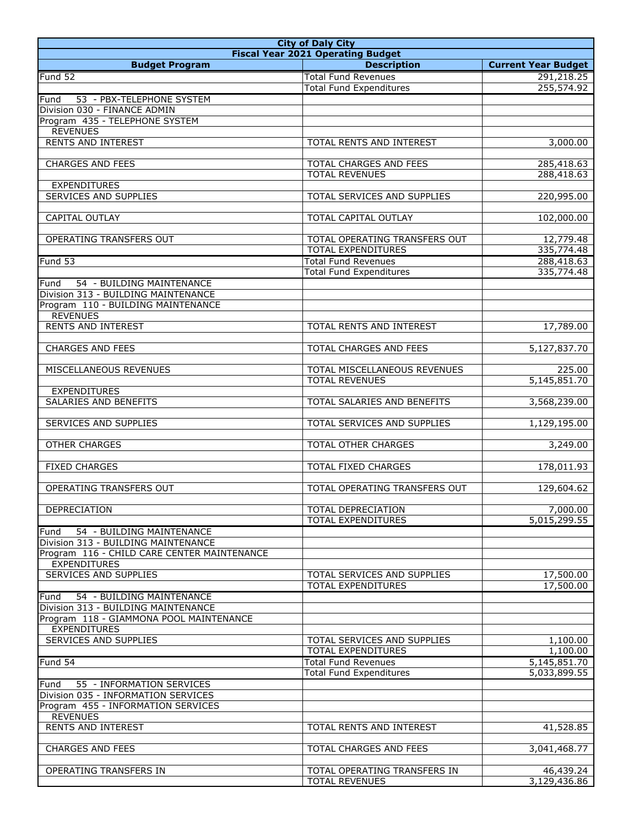| <b>City of Daly City</b>                                                  |                                                              |                            |
|---------------------------------------------------------------------------|--------------------------------------------------------------|----------------------------|
|                                                                           | <b>Fiscal Year 2021 Operating Budget</b>                     |                            |
| <b>Budget Program</b>                                                     | <b>Description</b>                                           | <b>Current Year Budget</b> |
| Fund 52                                                                   | <b>Total Fund Revenues</b>                                   | 291,218.25                 |
|                                                                           | <b>Total Fund Expenditures</b>                               | 255,574.92                 |
| 53 - PBX-TELEPHONE SYSTEM<br>Fund                                         |                                                              |                            |
| Division 030 - FINANCE ADMIN                                              |                                                              |                            |
| Program 435 - TELEPHONE SYSTEM<br><b>REVENUES</b>                         |                                                              |                            |
| <b>RENTS AND INTEREST</b>                                                 | TOTAL RENTS AND INTEREST                                     | 3,000.00                   |
|                                                                           |                                                              |                            |
| <b>CHARGES AND FEES</b>                                                   | TOTAL CHARGES AND FEES                                       | 285,418.63                 |
|                                                                           | <b>TOTAL REVENUES</b>                                        | 288,418.63                 |
| <b>EXPENDITURES</b>                                                       |                                                              |                            |
| SERVICES AND SUPPLIES                                                     | TOTAL SERVICES AND SUPPLIES                                  | 220,995.00                 |
|                                                                           |                                                              |                            |
| <b>CAPITAL OUTLAY</b>                                                     | TOTAL CAPITAL OUTLAY                                         | 102,000.00                 |
|                                                                           |                                                              |                            |
| OPERATING TRANSFERS OUT                                                   | TOTAL OPERATING TRANSFERS OUT                                | 12,779.48                  |
|                                                                           | <b>TOTAL EXPENDITURES</b>                                    | 335,774.48                 |
| Fund 53                                                                   | <b>Total Fund Revenues</b><br><b>Total Fund Expenditures</b> | 288,418.63<br>335,774.48   |
| 54 - BUILDING MAINTENANCE<br>Fund                                         |                                                              |                            |
| Division 313 - BUILDING MAINTENANCE                                       |                                                              |                            |
| Program 110 - BUILDING MAINTENANCE                                        |                                                              |                            |
| <b>REVENUES</b>                                                           |                                                              |                            |
| <b>RENTS AND INTEREST</b>                                                 | TOTAL RENTS AND INTEREST                                     | 17,789.00                  |
|                                                                           |                                                              |                            |
| <b>CHARGES AND FEES</b>                                                   | TOTAL CHARGES AND FEES                                       | 5,127,837.70               |
|                                                                           |                                                              |                            |
| MISCELLANEOUS REVENUES                                                    | TOTAL MISCELLANEOUS REVENUES                                 | 225.00                     |
|                                                                           | <b>TOTAL REVENUES</b>                                        | 5,145,851.70               |
| <b>EXPENDITURES</b>                                                       |                                                              |                            |
| SALARIES AND BENEFITS                                                     | TOTAL SALARIES AND BENEFITS                                  | 3,568,239.00               |
| <b>SERVICES AND SUPPLIES</b>                                              | TOTAL SERVICES AND SUPPLIES                                  | 1,129,195.00               |
|                                                                           |                                                              |                            |
| <b>OTHER CHARGES</b>                                                      | TOTAL OTHER CHARGES                                          | 3,249.00                   |
|                                                                           |                                                              |                            |
| <b>FIXED CHARGES</b>                                                      | <b>TOTAL FIXED CHARGES</b>                                   | 178,011.93                 |
|                                                                           |                                                              |                            |
| OPERATING TRANSFERS OUT                                                   | TOTAL OPERATING TRANSFERS OUT                                | 129,604.62                 |
|                                                                           |                                                              |                            |
| DEPRECIATION                                                              | TOTAL DEPRECIATION<br><b>TOTAL EXPENDITURES</b>              | 7,000.00                   |
| 54 - BUILDING MAINTENANCE                                                 |                                                              | 5,015,299.55               |
| Fund<br>Division 313 - BUILDING MAINTENANCE                               |                                                              |                            |
| Program 116 - CHILD CARE CENTER MAINTENANCE                               |                                                              |                            |
| <b>EXPENDITURES</b>                                                       |                                                              |                            |
| <b>SERVICES AND SUPPLIES</b>                                              | TOTAL SERVICES AND SUPPLIES                                  | 17,500.00                  |
|                                                                           | TOTAL EXPENDITURES                                           | 17,500.00                  |
| 54 - BUILDING MAINTENANCE<br>Fund                                         |                                                              |                            |
| Division 313 - BUILDING MAINTENANCE                                       |                                                              |                            |
| Program 118 - GIAMMONA POOL MAINTENANCE                                   |                                                              |                            |
| <b>EXPENDITURES</b>                                                       |                                                              |                            |
| SERVICES AND SUPPLIES                                                     | TOTAL SERVICES AND SUPPLIES                                  | 1,100.00                   |
|                                                                           | TOTAL EXPENDITURES                                           | 1,100.00                   |
| Fund 54                                                                   | <b>Total Fund Revenues</b>                                   | 5,145,851.70               |
|                                                                           | <b>Total Fund Expenditures</b>                               | 5,033,899.55               |
| Fund<br>55 - INFORMATION SERVICES                                         |                                                              |                            |
| Division 035 - INFORMATION SERVICES<br>Program 455 - INFORMATION SERVICES |                                                              |                            |
| <b>REVENUES</b>                                                           |                                                              |                            |
| RENTS AND INTEREST                                                        | TOTAL RENTS AND INTEREST                                     | 41,528.85                  |
|                                                                           |                                                              |                            |
| <b>CHARGES AND FEES</b>                                                   | TOTAL CHARGES AND FEES                                       | 3,041,468.77               |
|                                                                           |                                                              |                            |
| OPERATING TRANSFERS IN                                                    | TOTAL OPERATING TRANSFERS IN                                 | 46,439.24                  |
|                                                                           | <b>TOTAL REVENUES</b>                                        | 3,129,436.86               |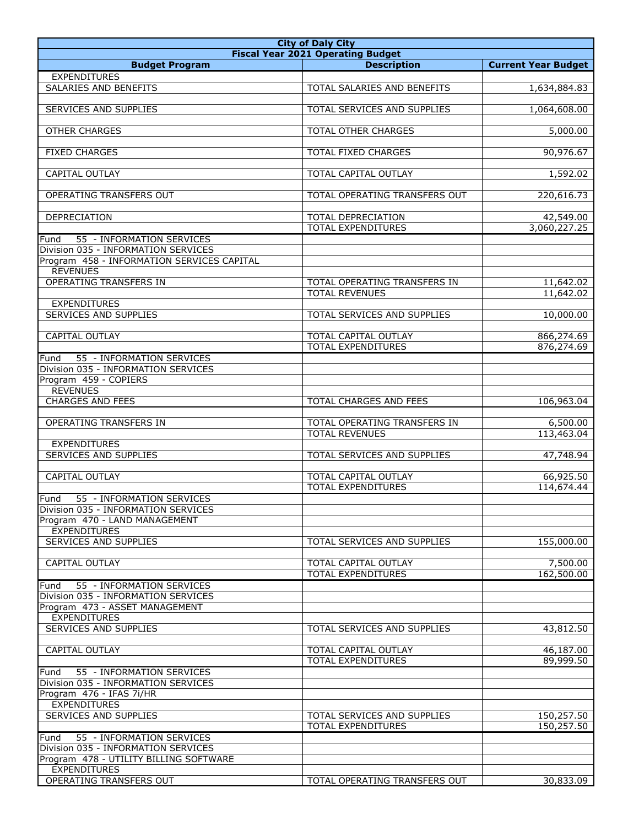| <b>City of Daly City</b>                        |                                                          |                            |
|-------------------------------------------------|----------------------------------------------------------|----------------------------|
|                                                 | <b>Fiscal Year 2021 Operating Budget</b>                 |                            |
| <b>Budget Program</b>                           | <b>Description</b>                                       | <b>Current Year Budget</b> |
| <b>EXPENDITURES</b>                             |                                                          |                            |
| SALARIES AND BENEFITS                           | TOTAL SALARIES AND BENEFITS                              | 1,634,884.83               |
|                                                 |                                                          |                            |
| <b>SERVICES AND SUPPLIES</b>                    | TOTAL SERVICES AND SUPPLIES                              | 1,064,608.00               |
| <b>OTHER CHARGES</b>                            | TOTAL OTHER CHARGES                                      | 5,000.00                   |
|                                                 |                                                          |                            |
| <b>FIXED CHARGES</b>                            | <b>TOTAL FIXED CHARGES</b>                               | 90,976.67                  |
|                                                 |                                                          |                            |
| CAPITAL OUTLAY                                  | TOTAL CAPITAL OUTLAY                                     | 1,592.02                   |
|                                                 |                                                          |                            |
| OPERATING TRANSFERS OUT                         | TOTAL OPERATING TRANSFERS OUT                            | 220,616.73                 |
|                                                 |                                                          |                            |
| DEPRECIATION                                    | TOTAL DEPRECIATION<br><b>TOTAL EXPENDITURES</b>          | 42,549.00<br>3,060,227.25  |
| 55 - INFORMATION SERVICES<br>Fund               |                                                          |                            |
| Division 035 - INFORMATION SERVICES             |                                                          |                            |
| Program 458 - INFORMATION SERVICES CAPITAL      |                                                          |                            |
| <b>REVENUES</b>                                 |                                                          |                            |
| <b>OPERATING TRANSFERS IN</b>                   | <b>TOTAL OPERATING TRANSFERS IN</b>                      | 11,642.02                  |
|                                                 | <b>TOTAL REVENUES</b>                                    | 11,642.02                  |
| <b>EXPENDITURES</b>                             |                                                          |                            |
| SERVICES AND SUPPLIES                           | TOTAL SERVICES AND SUPPLIES                              | 10,000.00                  |
|                                                 |                                                          |                            |
| <b>CAPITAL OUTLAY</b>                           | <b>TOTAL CAPITAL OUTLAY</b><br><b>TOTAL EXPENDITURES</b> | 866,274.69<br>876,274.69   |
| 55 - INFORMATION SERVICES<br>Fund               |                                                          |                            |
| Division 035 - INFORMATION SERVICES             |                                                          |                            |
| Program 459 - COPIERS                           |                                                          |                            |
| <b>REVENUES</b>                                 |                                                          |                            |
| <b>CHARGES AND FEES</b>                         | <b>TOTAL CHARGES AND FEES</b>                            | 106,963.04                 |
|                                                 |                                                          |                            |
| OPERATING TRANSFERS IN                          | TOTAL OPERATING TRANSFERS IN                             | 6,500.00                   |
|                                                 | <b>TOTAL REVENUES</b>                                    | 113,463.04                 |
| <b>EXPENDITURES</b>                             |                                                          |                            |
| <b>SERVICES AND SUPPLIES</b>                    | TOTAL SERVICES AND SUPPLIES                              | 47,748.94                  |
| CAPITAL OUTLAY                                  | TOTAL CAPITAL OUTLAY                                     | 66,925.50                  |
|                                                 | <b>TOTAL EXPENDITURES</b>                                | 114,674.44                 |
| Fund<br>55 - INFORMATION SERVICES               |                                                          |                            |
| Division 035 - INFORMATION SERVICES             |                                                          |                            |
| Program 470 - LAND MANAGEMENT                   |                                                          |                            |
| <b>EXPENDITURES</b>                             |                                                          |                            |
| SERVICES AND SUPPLIES                           | TOTAL SERVICES AND SUPPLIES                              | 155,000.00                 |
|                                                 |                                                          |                            |
| <b>CAPITAL OUTLAY</b>                           | TOTAL CAPITAL OUTLAY<br>TOTAL EXPENDITURES               | 7,500.00<br>162,500.00     |
| 55 - INFORMATION SERVICES<br>Fund               |                                                          |                            |
| Division 035 - INFORMATION SERVICES             |                                                          |                            |
| Program 473 - ASSET MANAGEMENT                  |                                                          |                            |
| <b>EXPENDITURES</b>                             |                                                          |                            |
| SERVICES AND SUPPLIES                           | TOTAL SERVICES AND SUPPLIES                              | 43,812.50                  |
|                                                 |                                                          |                            |
| CAPITAL OUTLAY                                  | TOTAL CAPITAL OUTLAY                                     | 46,187.00                  |
|                                                 | TOTAL EXPENDITURES                                       | 89,999.50                  |
| 55 - INFORMATION SERVICES<br>Fund               |                                                          |                            |
| Division 035 - INFORMATION SERVICES             |                                                          |                            |
| Program 476 - IFAS 7i/HR<br><b>EXPENDITURES</b> |                                                          |                            |
| SERVICES AND SUPPLIES                           | TOTAL SERVICES AND SUPPLIES                              | 150,257.50                 |
|                                                 | TOTAL EXPENDITURES                                       | 150,257.50                 |
| 55 - INFORMATION SERVICES<br>Fund               |                                                          |                            |
| Division 035 - INFORMATION SERVICES             |                                                          |                            |
| Program 478 - UTILITY BILLING SOFTWARE          |                                                          |                            |
| <b>EXPENDITURES</b>                             |                                                          |                            |
| OPERATING TRANSFERS OUT                         | TOTAL OPERATING TRANSFERS OUT                            | 30,833.09                  |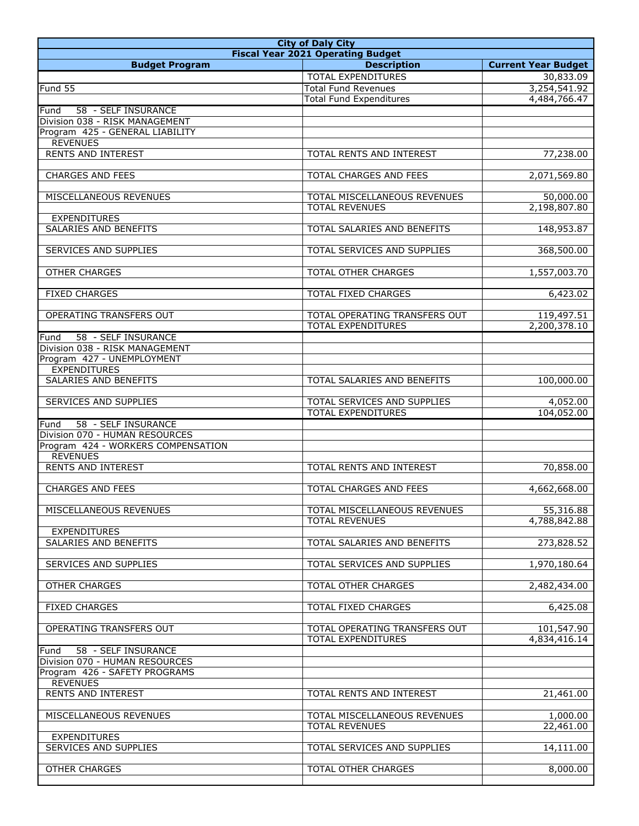| <b>City of Daly City</b>                                      |                                                          |                            |
|---------------------------------------------------------------|----------------------------------------------------------|----------------------------|
|                                                               | <b>Fiscal Year 2021 Operating Budget</b>                 |                            |
| <b>Budget Program</b>                                         | <b>Description</b>                                       | <b>Current Year Budget</b> |
|                                                               | <b>TOTAL EXPENDITURES</b>                                | 30,833.09                  |
| Fund 55                                                       | <b>Total Fund Revenues</b>                               | 3,254,541.92               |
|                                                               | <b>Total Fund Expenditures</b>                           | 4,484,766.47               |
| 58 - SELF INSURANCE<br>Fund<br>Division 038 - RISK MANAGEMENT |                                                          |                            |
| Program 425 - GENERAL LIABILITY                               |                                                          |                            |
| <b>REVENUES</b>                                               |                                                          |                            |
| <b>RENTS AND INTEREST</b>                                     | TOTAL RENTS AND INTEREST                                 | 77,238.00                  |
|                                                               |                                                          |                            |
| <b>CHARGES AND FEES</b>                                       | TOTAL CHARGES AND FEES                                   | 2,071,569.80               |
|                                                               |                                                          |                            |
| MISCELLANEOUS REVENUES                                        | TOTAL MISCELLANEOUS REVENUES<br><b>TOTAL REVENUES</b>    | 50,000.00<br>2,198,807.80  |
| <b>EXPENDITURES</b>                                           |                                                          |                            |
| SALARIES AND BENEFITS                                         | TOTAL SALARIES AND BENEFITS                              | 148,953.87                 |
|                                                               |                                                          |                            |
| <b>SERVICES AND SUPPLIES</b>                                  | TOTAL SERVICES AND SUPPLIES                              | 368,500.00                 |
|                                                               |                                                          |                            |
| <b>OTHER CHARGES</b>                                          | <b>TOTAL OTHER CHARGES</b>                               | 1,557,003.70               |
|                                                               |                                                          |                            |
| <b>FIXED CHARGES</b>                                          | TOTAL FIXED CHARGES                                      | 6,423.02                   |
| OPERATING TRANSFERS OUT                                       | TOTAL OPERATING TRANSFERS OUT                            | 119,497.51                 |
|                                                               | <b>TOTAL EXPENDITURES</b>                                | 2,200,378.10               |
| 58 - SELF INSURANCE<br>Fund                                   |                                                          |                            |
| Division 038 - RISK MANAGEMENT                                |                                                          |                            |
| Program 427 - UNEMPLOYMENT                                    |                                                          |                            |
| <b>EXPENDITURES</b>                                           |                                                          |                            |
| SALARIES AND BENEFITS                                         | TOTAL SALARIES AND BENEFITS                              | 100,000.00                 |
|                                                               |                                                          |                            |
| <b>SERVICES AND SUPPLIES</b>                                  | TOTAL SERVICES AND SUPPLIES<br><b>TOTAL EXPENDITURES</b> | 4,052.00<br>104,052.00     |
| 58 - SELF INSURANCE<br>Fund                                   |                                                          |                            |
| Division 070 - HUMAN RESOURCES                                |                                                          |                            |
| Program 424 - WORKERS COMPENSATION                            |                                                          |                            |
| <b>REVENUES</b>                                               |                                                          |                            |
| <b>RENTS AND INTEREST</b>                                     | TOTAL RENTS AND INTEREST                                 | 70,858.00                  |
|                                                               |                                                          |                            |
| <b>CHARGES AND FEES</b>                                       | TOTAL CHARGES AND FEES                                   | 4,662,668.00               |
| MISCELLANEOUS REVENUES                                        | TOTAL MISCELLANEOUS REVENUES                             | 55,316.88                  |
|                                                               | <b>TOTAL REVENUES</b>                                    | 4,788,842.88               |
| <b>EXPENDITURES</b>                                           |                                                          |                            |
| <b>SALARIES AND BENEFITS</b>                                  | TOTAL SALARIES AND BENEFITS                              | 273,828.52                 |
|                                                               |                                                          |                            |
| SERVICES AND SUPPLIES                                         | TOTAL SERVICES AND SUPPLIES                              | 1,970,180.64               |
|                                                               |                                                          |                            |
| <b>OTHER CHARGES</b>                                          | TOTAL OTHER CHARGES                                      | 2,482,434.00               |
| <b>FIXED CHARGES</b>                                          | TOTAL FIXED CHARGES                                      | 6,425.08                   |
|                                                               |                                                          |                            |
| OPERATING TRANSFERS OUT                                       | TOTAL OPERATING TRANSFERS OUT                            | 101,547.90                 |
|                                                               | <b>TOTAL EXPENDITURES</b>                                | 4,834,416.14               |
| 58 - SELF INSURANCE<br>Fund                                   |                                                          |                            |
| Division 070 - HUMAN RESOURCES                                |                                                          |                            |
| Program 426 - SAFETY PROGRAMS                                 |                                                          |                            |
| <b>REVENUES</b><br>RENTS AND INTEREST                         | TOTAL RENTS AND INTEREST                                 | 21,461.00                  |
|                                                               |                                                          |                            |
| MISCELLANEOUS REVENUES                                        | TOTAL MISCELLANEOUS REVENUES                             | 1,000.00                   |
|                                                               | <b>TOTAL REVENUES</b>                                    | 22,461.00                  |
| <b>EXPENDITURES</b>                                           |                                                          |                            |
| SERVICES AND SUPPLIES                                         | TOTAL SERVICES AND SUPPLIES                              | 14,111.00                  |
|                                                               |                                                          |                            |
| <b>OTHER CHARGES</b>                                          | TOTAL OTHER CHARGES                                      | 8,000.00                   |
|                                                               |                                                          |                            |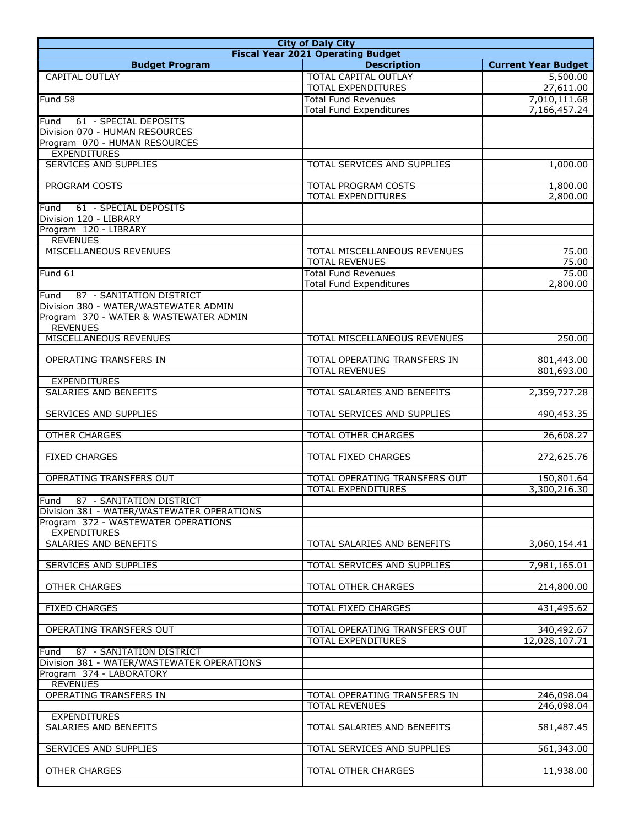| <b>City of Daly City</b>                             |                                                            |                            |
|------------------------------------------------------|------------------------------------------------------------|----------------------------|
|                                                      | <b>Fiscal Year 2021 Operating Budget</b>                   |                            |
| <b>Budget Program</b>                                | <b>Description</b>                                         | <b>Current Year Budget</b> |
| <b>CAPITAL OUTLAY</b>                                | TOTAL CAPITAL OUTLAY                                       | 5,500.00                   |
|                                                      | <b>TOTAL EXPENDITURES</b>                                  | 27,611.00                  |
| Fund 58                                              | <b>Total Fund Revenues</b>                                 | 7,010,111.68               |
|                                                      | <b>Total Fund Expenditures</b>                             | 7,166,457.24               |
| Fund<br>61 - SPECIAL DEPOSITS                        |                                                            |                            |
| Division 070 - HUMAN RESOURCES                       |                                                            |                            |
| Program 070 - HUMAN RESOURCES<br><b>EXPENDITURES</b> |                                                            |                            |
| <b>SERVICES AND SUPPLIES</b>                         | TOTAL SERVICES AND SUPPLIES                                | 1,000.00                   |
|                                                      |                                                            |                            |
| PROGRAM COSTS                                        | <b>TOTAL PROGRAM COSTS</b>                                 | 1,800.00                   |
|                                                      | <b>TOTAL EXPENDITURES</b>                                  | 2,800.00                   |
| 61 - SPECIAL DEPOSITS<br>Fund                        |                                                            |                            |
| Division 120 - LIBRARY                               |                                                            |                            |
| Program 120 - LIBRARY                                |                                                            |                            |
| <b>REVENUES</b>                                      |                                                            |                            |
| MISCELLANEOUS REVENUES                               | TOTAL MISCELLANEOUS REVENUES                               | 75.00                      |
|                                                      | <b>TOTAL REVENUES</b>                                      | 75.00                      |
| Fund 61                                              | <b>Total Fund Revenues</b>                                 | 75.00                      |
|                                                      | <b>Total Fund Expenditures</b>                             | 2,800.00                   |
| 87 - SANITATION DISTRICT<br>Fund                     |                                                            |                            |
| Division 380 - WATER/WASTEWATER ADMIN                |                                                            |                            |
| Program 370 - WATER & WASTEWATER ADMIN               |                                                            |                            |
| <b>REVENUES</b>                                      |                                                            |                            |
| MISCELLANEOUS REVENUES                               | TOTAL MISCELLANEOUS REVENUES                               | 250.00                     |
| OPERATING TRANSFERS IN                               | TOTAL OPERATING TRANSFERS IN                               | 801,443.00                 |
|                                                      | <b>TOTAL REVENUES</b>                                      | 801,693.00                 |
| <b>EXPENDITURES</b>                                  |                                                            |                            |
| SALARIES AND BENEFITS                                | TOTAL SALARIES AND BENEFITS                                | 2,359,727.28               |
|                                                      |                                                            |                            |
| SERVICES AND SUPPLIES                                | TOTAL SERVICES AND SUPPLIES                                | 490,453.35                 |
|                                                      |                                                            |                            |
| <b>OTHER CHARGES</b>                                 | TOTAL OTHER CHARGES                                        | 26,608.27                  |
|                                                      |                                                            |                            |
| <b>FIXED CHARGES</b>                                 | <b>TOTAL FIXED CHARGES</b>                                 | 272,625.76                 |
|                                                      |                                                            |                            |
| OPERATING TRANSFERS OUT                              | TOTAL OPERATING TRANSFERS OUT<br><b>TOTAL EXPENDITURES</b> | 150,801.64<br>3,300,216.30 |
| Fund<br>87 - SANITATION DISTRICT                     |                                                            |                            |
| Division 381 - WATER/WASTEWATER OPERATIONS           |                                                            |                            |
| Program 372 - WASTEWATER OPERATIONS                  |                                                            |                            |
| <b>EXPENDITURES</b>                                  |                                                            |                            |
| SALARIES AND BENEFITS                                | TOTAL SALARIES AND BENEFITS                                | 3,060,154.41               |
|                                                      |                                                            |                            |
| SERVICES AND SUPPLIES                                | TOTAL SERVICES AND SUPPLIES                                | 7,981,165.01               |
|                                                      |                                                            |                            |
| <b>OTHER CHARGES</b>                                 | TOTAL OTHER CHARGES                                        | 214,800.00                 |
|                                                      |                                                            |                            |
| <b>FIXED CHARGES</b>                                 | TOTAL FIXED CHARGES                                        | 431,495.62                 |
| OPERATING TRANSFERS OUT                              | TOTAL OPERATING TRANSFERS OUT                              | 340,492.67                 |
|                                                      | TOTAL EXPENDITURES                                         | 12,028,107.71              |
| Fund<br>87 - SANITATION DISTRICT                     |                                                            |                            |
| Division 381 - WATER/WASTEWATER OPERATIONS           |                                                            |                            |
| Program 374 - LABORATORY                             |                                                            |                            |
| <b>REVENUES</b>                                      |                                                            |                            |
| OPERATING TRANSFERS IN                               | TOTAL OPERATING TRANSFERS IN                               | 246,098.04                 |
|                                                      | <b>TOTAL REVENUES</b>                                      | 246,098.04                 |
| <b>EXPENDITURES</b>                                  |                                                            |                            |
| SALARIES AND BENEFITS                                | TOTAL SALARIES AND BENEFITS                                | 581,487.45                 |
|                                                      |                                                            |                            |
| SERVICES AND SUPPLIES                                | TOTAL SERVICES AND SUPPLIES                                | 561,343.00                 |
|                                                      |                                                            |                            |
| <b>OTHER CHARGES</b>                                 | TOTAL OTHER CHARGES                                        | 11,938.00                  |
|                                                      |                                                            |                            |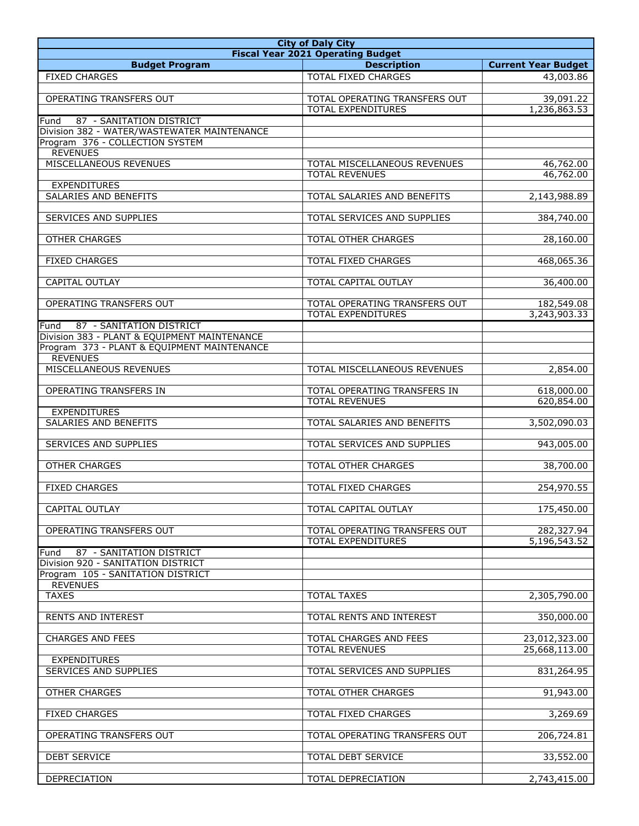| <b>City of Daly City</b>                                       |                               |                            |  |
|----------------------------------------------------------------|-------------------------------|----------------------------|--|
| <b>Fiscal Year 2021 Operating Budget</b>                       |                               |                            |  |
| <b>Budget Program</b>                                          | <b>Description</b>            | <b>Current Year Budget</b> |  |
| <b>FIXED CHARGES</b>                                           | <b>TOTAL FIXED CHARGES</b>    | 43,003.86                  |  |
|                                                                |                               |                            |  |
| OPERATING TRANSFERS OUT                                        | TOTAL OPERATING TRANSFERS OUT | 39,091.22                  |  |
| 87 - SANITATION DISTRICT<br>Fund                               | <b>TOTAL EXPENDITURES</b>     | 1,236,863.53               |  |
| Division 382 - WATER/WASTEWATER MAINTENANCE                    |                               |                            |  |
| Program 376 - COLLECTION SYSTEM                                |                               |                            |  |
| <b>REVENUES</b>                                                |                               |                            |  |
| <b>MISCELLANEOUS REVENUES</b>                                  | TOTAL MISCELLANEOUS REVENUES  | 46,762.00                  |  |
|                                                                | <b>TOTAL REVENUES</b>         | 46,762.00                  |  |
| <b>EXPENDITURES</b>                                            |                               |                            |  |
| SALARIES AND BENEFITS                                          | TOTAL SALARIES AND BENEFITS   | 2,143,988.89               |  |
|                                                                |                               |                            |  |
| SERVICES AND SUPPLIES                                          | TOTAL SERVICES AND SUPPLIES   | 384,740.00                 |  |
| <b>OTHER CHARGES</b>                                           | TOTAL OTHER CHARGES           | 28,160.00                  |  |
|                                                                |                               |                            |  |
| <b>FIXED CHARGES</b>                                           | TOTAL FIXED CHARGES           | 468,065.36                 |  |
|                                                                |                               |                            |  |
| CAPITAL OUTLAY                                                 | <b>TOTAL CAPITAL OUTLAY</b>   | 36,400.00                  |  |
|                                                                |                               |                            |  |
| OPERATING TRANSFERS OUT                                        | TOTAL OPERATING TRANSFERS OUT | 182,549.08                 |  |
|                                                                | <b>TOTAL EXPENDITURES</b>     | 3,243,903.33               |  |
| 87 - SANITATION DISTRICT<br>Fund                               |                               |                            |  |
| Division 383 - PLANT & EQUIPMENT MAINTENANCE                   |                               |                            |  |
| Program 373 - PLANT & EQUIPMENT MAINTENANCE<br><b>REVENUES</b> |                               |                            |  |
| MISCELLANEOUS REVENUES                                         | TOTAL MISCELLANEOUS REVENUES  | 2,854.00                   |  |
|                                                                |                               |                            |  |
| OPERATING TRANSFERS IN                                         | TOTAL OPERATING TRANSFERS IN  | 618,000.00                 |  |
|                                                                | <b>TOTAL REVENUES</b>         | 620,854.00                 |  |
| <b>EXPENDITURES</b>                                            |                               |                            |  |
| <b>SALARIES AND BENEFITS</b>                                   | TOTAL SALARIES AND BENEFITS   | 3,502,090.03               |  |
|                                                                |                               |                            |  |
| SERVICES AND SUPPLIES                                          | TOTAL SERVICES AND SUPPLIES   | 943,005.00                 |  |
|                                                                |                               |                            |  |
| OTHER CHARGES                                                  | TOTAL OTHER CHARGES           | 38,700.00                  |  |
| <b>FIXED CHARGES</b>                                           | TOTAL FIXED CHARGES           | 254,970.55                 |  |
|                                                                |                               |                            |  |
| CAPITAL OUTLAY                                                 | TOTAL CAPITAL OUTLAY          | 175,450.00                 |  |
|                                                                |                               |                            |  |
| OPERATING TRANSFERS OUT                                        | TOTAL OPERATING TRANSFERS OUT | 282,327.94                 |  |
|                                                                | TOTAL EXPENDITURES            | 5,196,543.52               |  |
| 87 - SANITATION DISTRICT<br>Fund                               |                               |                            |  |
| Division 920 - SANITATION DISTRICT                             |                               |                            |  |
| Program 105 - SANITATION DISTRICT                              |                               |                            |  |
| <b>REVENUES</b>                                                |                               |                            |  |
| <b>TAXES</b>                                                   | <b>TOTAL TAXES</b>            | 2,305,790.00               |  |
| <b>RENTS AND INTEREST</b>                                      | TOTAL RENTS AND INTEREST      | 350,000.00                 |  |
|                                                                |                               |                            |  |
| <b>CHARGES AND FEES</b>                                        | TOTAL CHARGES AND FEES        | 23,012,323.00              |  |
|                                                                | <b>TOTAL REVENUES</b>         | 25,668,113.00              |  |
| <b>EXPENDITURES</b>                                            |                               |                            |  |
| SERVICES AND SUPPLIES                                          | TOTAL SERVICES AND SUPPLIES   | 831,264.95                 |  |
|                                                                |                               |                            |  |
| <b>OTHER CHARGES</b>                                           | TOTAL OTHER CHARGES           | 91,943.00                  |  |
|                                                                |                               |                            |  |
| <b>FIXED CHARGES</b>                                           | TOTAL FIXED CHARGES           | 3,269.69                   |  |
| OPERATING TRANSFERS OUT                                        | TOTAL OPERATING TRANSFERS OUT | 206,724.81                 |  |
|                                                                |                               |                            |  |
| <b>DEBT SERVICE</b>                                            | TOTAL DEBT SERVICE            | 33,552.00                  |  |
|                                                                |                               |                            |  |
| DEPRECIATION                                                   | TOTAL DEPRECIATION            | 2,743,415.00               |  |